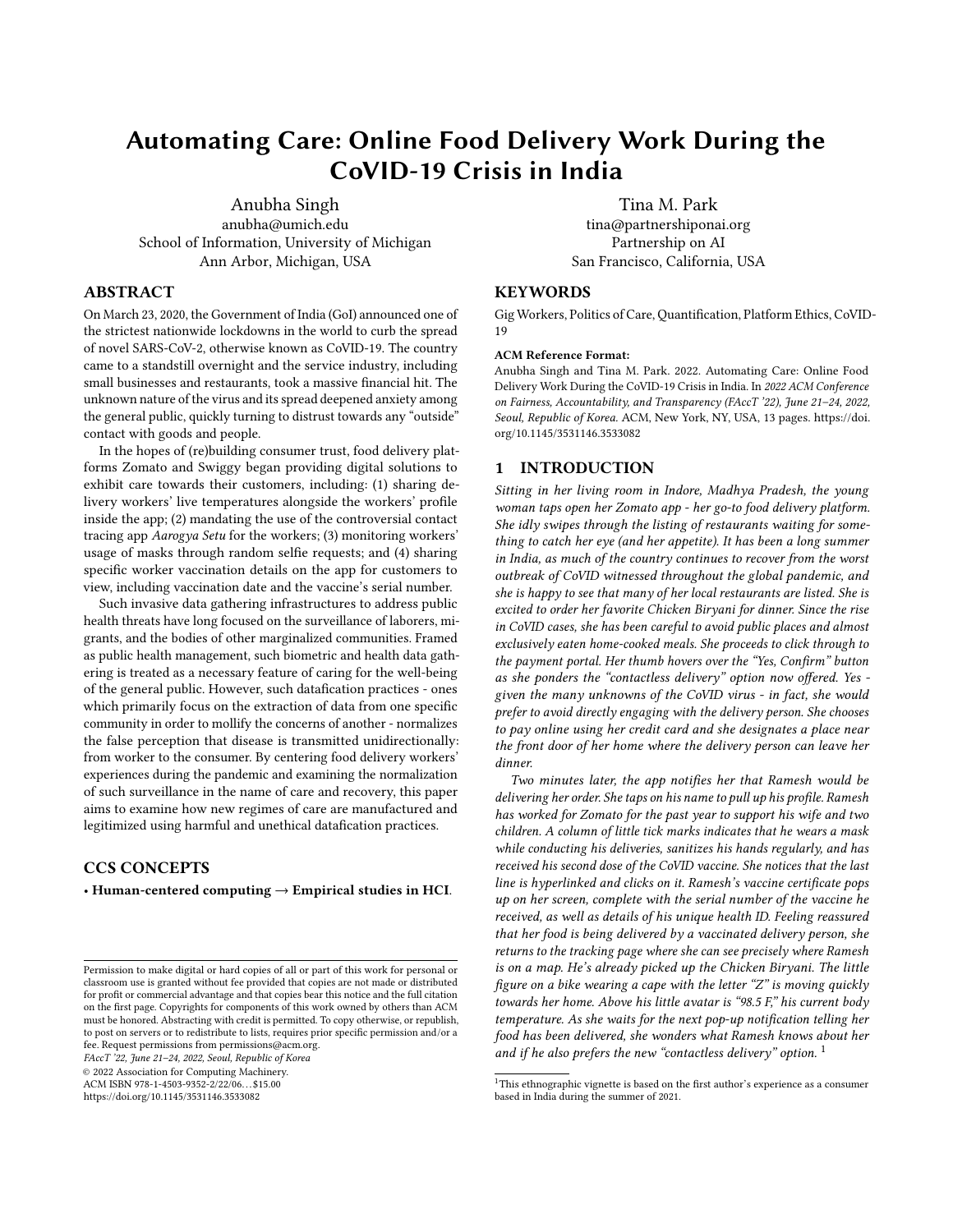# Automating Care: Online Food Delivery Work During the CoVID-19 Crisis in India

[Anubha Singh](https://orcid.org/0000-0003-4323-4467) anubha@umich.edu School of Information, University of Michigan Ann Arbor, Michigan, USA

# ABSTRACT

On March 23, 2020, the Government of India (GoI) announced one of the strictest nationwide lockdowns in the world to curb the spread of novel SARS-CoV-2, otherwise known as CoVID-19. The country came to a standstill overnight and the service industry, including small businesses and restaurants, took a massive financial hit. The unknown nature of the virus and its spread deepened anxiety among the general public, quickly turning to distrust towards any "outside" contact with goods and people.

In the hopes of (re)building consumer trust, food delivery platforms Zomato and Swiggy began providing digital solutions to exhibit care towards their customers, including: (1) sharing delivery workers' live temperatures alongside the workers' profile inside the app; (2) mandating the use of the controversial contact tracing app Aarogya Setu for the workers; (3) monitoring workers' usage of masks through random selfie requests; and (4) sharing specific worker vaccination details on the app for customers to view, including vaccination date and the vaccine's serial number.

Such invasive data gathering infrastructures to address public health threats have long focused on the surveillance of laborers, migrants, and the bodies of other marginalized communities. Framed as public health management, such biometric and health data gathering is treated as a necessary feature of caring for the well-being of the general public. However, such datafication practices - ones which primarily focus on the extraction of data from one specific community in order to mollify the concerns of another - normalizes the false perception that disease is transmitted unidirectionally: from worker to the consumer. By centering food delivery workers' experiences during the pandemic and examining the normalization of such surveillance in the name of care and recovery, this paper aims to examine how new regimes of care are manufactured and legitimized using harmful and unethical datafication practices.

# CCS CONCEPTS

• Human-centered computing  $\rightarrow$  Empirical studies in HCI.

FAccT '22, June 21–24, 2022, Seoul, Republic of Korea

© 2022 Association for Computing Machinery.

ACM ISBN 978-1-4503-9352-2/22/06. . . \$15.00

<https://doi.org/10.1145/3531146.3533082>

[Tina M. Park](https://orcid.org/0000-0003-1880-3453) tina@partnershiponai.org Partnership on AI San Francisco, California, USA

# **KEYWORDS**

Gig Workers, Politics of Care, Quantification, Platform Ethics, CoVID-19

#### ACM Reference Format:

Anubha Singh and Tina M. Park. 2022. Automating Care: Online Food Delivery Work During the CoVID-19 Crisis in India. In 2022 ACM Conference on Fairness, Accountability, and Transparency (FAccT '22), June 21–24, 2022, Seoul, Republic of Korea. ACM, New York, NY, USA, [13](#page-12-0) pages. [https://doi.](https://doi.org/10.1145/3531146.3533082) [org/10.1145/3531146.3533082](https://doi.org/10.1145/3531146.3533082)

#### 1 INTRODUCTION

Sitting in her living room in Indore, Madhya Pradesh, the young woman taps open her Zomato app - her go-to food delivery platform. She idly swipes through the listing of restaurants waiting for something to catch her eye (and her appetite). It has been a long summer in India, as much of the country continues to recover from the worst outbreak of CoVID witnessed throughout the global pandemic, and she is happy to see that many of her local restaurants are listed. She is excited to order her favorite Chicken Biryani for dinner. Since the rise in CoVID cases, she has been careful to avoid public places and almost exclusively eaten home-cooked meals. She proceeds to click through to the payment portal. Her thumb hovers over the "Yes, Confirm" button as she ponders the "contactless delivery" option now offered. Yes given the many unknowns of the CoVID virus - in fact, she would prefer to avoid directly engaging with the delivery person. She chooses to pay online using her credit card and she designates a place near the front door of her home where the delivery person can leave her dinner.

Two minutes later, the app notifies her that Ramesh would be delivering her order. She taps on his name to pull up his profile. Ramesh has worked for Zomato for the past year to support his wife and two children. A column of little tick marks indicates that he wears a mask while conducting his deliveries, sanitizes his hands regularly, and has received his second dose of the CoVID vaccine. She notices that the last line is hyperlinked and clicks on it. Ramesh's vaccine certificate pops up on her screen, complete with the serial number of the vaccine he received, as well as details of his unique health ID. Feeling reassured that her food is being delivered by a vaccinated delivery person, she returns to the tracking page where she can see precisely where Ramesh is on a map. He's already picked up the Chicken Biryani. The little figure on a bike wearing a cape with the letter "Z" is moving quickly towards her home. Above his little avatar is "98.5 F," his current body temperature. As she waits for the next pop-up notification telling her food has been delivered, she wonders what Ramesh knows about her and if he also prefers the new "contactless delivery" option.<sup>[1](#page-0-0)</sup>

Permission to make digital or hard copies of all or part of this work for personal or classroom use is granted without fee provided that copies are not made or distributed for profit or commercial advantage and that copies bear this notice and the full citation on the first page. Copyrights for components of this work owned by others than ACM must be honored. Abstracting with credit is permitted. To copy otherwise, or republish, to post on servers or to redistribute to lists, requires prior specific permission and/or a fee. Request permissions from permissions@acm.org.

<span id="page-0-0"></span> $^1\mathrm{This}$  ethnographic vignette is based on the first author's experience as a consumer based in India during the summer of 2021.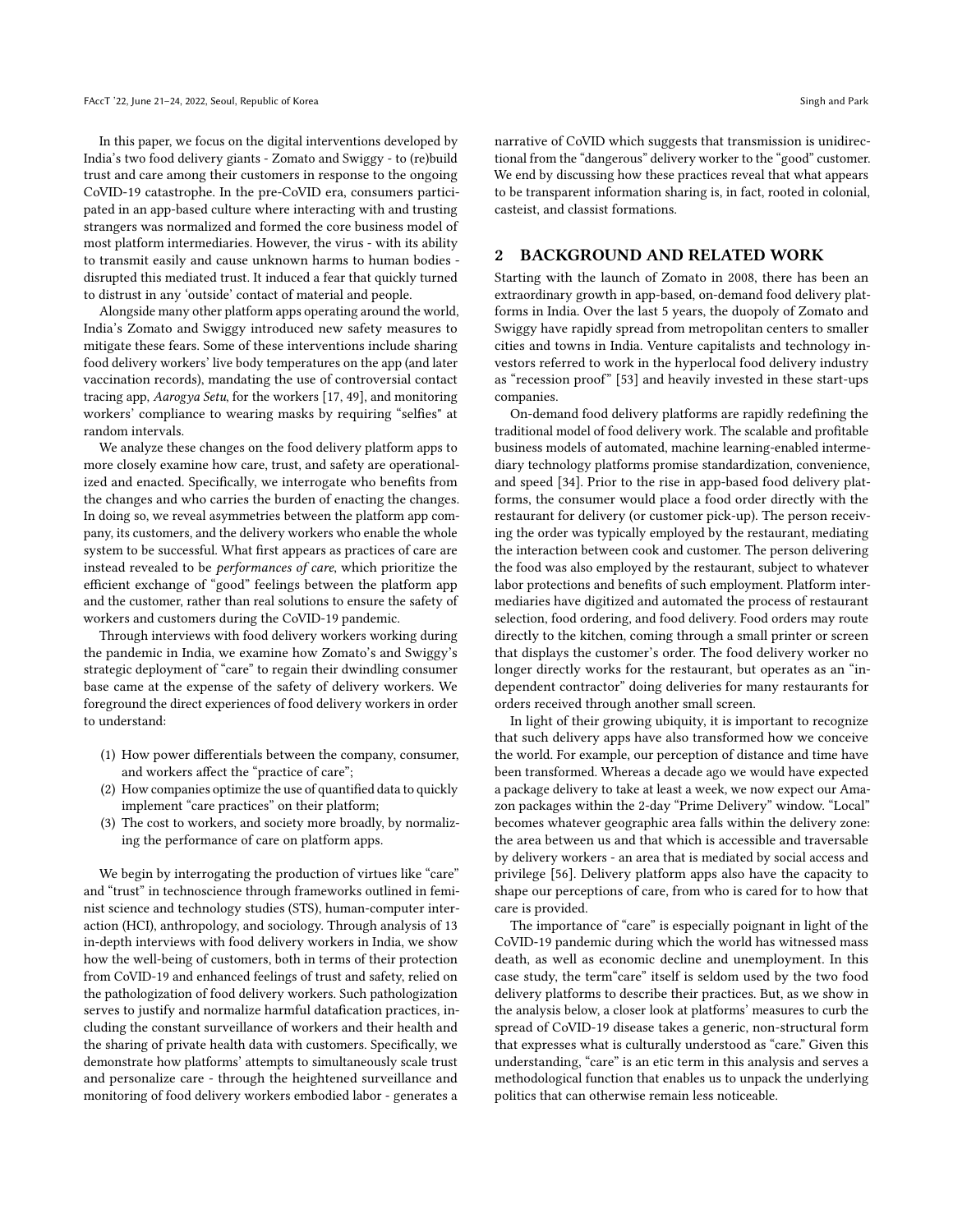In this paper, we focus on the digital interventions developed by India's two food delivery giants - Zomato and Swiggy - to (re)build trust and care among their customers in response to the ongoing CoVID-19 catastrophe. In the pre-CoVID era, consumers participated in an app-based culture where interacting with and trusting strangers was normalized and formed the core business model of most platform intermediaries. However, the virus - with its ability to transmit easily and cause unknown harms to human bodies disrupted this mediated trust. It induced a fear that quickly turned to distrust in any 'outside' contact of material and people.

Alongside many other platform apps operating around the world, India's Zomato and Swiggy introduced new safety measures to mitigate these fears. Some of these interventions include sharing food delivery workers' live body temperatures on the app (and later vaccination records), mandating the use of controversial contact tracing app, Aarogya Setu, for the workers [\[17,](#page-10-0) [49\]](#page-11-0), and monitoring workers' compliance to wearing masks by requiring "selfies" at random intervals.

We analyze these changes on the food delivery platform apps to more closely examine how care, trust, and safety are operationalized and enacted. Specifically, we interrogate who benefits from the changes and who carries the burden of enacting the changes. In doing so, we reveal asymmetries between the platform app company, its customers, and the delivery workers who enable the whole system to be successful. What first appears as practices of care are instead revealed to be performances of care, which prioritize the efficient exchange of "good" feelings between the platform app and the customer, rather than real solutions to ensure the safety of workers and customers during the CoVID-19 pandemic.

Through interviews with food delivery workers working during the pandemic in India, we examine how Zomato's and Swiggy's strategic deployment of "care" to regain their dwindling consumer base came at the expense of the safety of delivery workers. We foreground the direct experiences of food delivery workers in order to understand:

- (1) How power differentials between the company, consumer, and workers affect the "practice of care";
- (2) How companies optimize the use of quantified data to quickly implement "care practices" on their platform;
- (3) The cost to workers, and society more broadly, by normalizing the performance of care on platform apps.

We begin by interrogating the production of virtues like "care" and "trust" in technoscience through frameworks outlined in feminist science and technology studies (STS), human-computer interaction (HCI), anthropology, and sociology. Through analysis of 13 in-depth interviews with food delivery workers in India, we show how the well-being of customers, both in terms of their protection from CoVID-19 and enhanced feelings of trust and safety, relied on the pathologization of food delivery workers. Such pathologization serves to justify and normalize harmful datafication practices, including the constant surveillance of workers and their health and the sharing of private health data with customers. Specifically, we demonstrate how platforms' attempts to simultaneously scale trust and personalize care - through the heightened surveillance and monitoring of food delivery workers embodied labor - generates a

narrative of CoVID which suggests that transmission is unidirectional from the "dangerous" delivery worker to the "good" customer. We end by discussing how these practices reveal that what appears to be transparent information sharing is, in fact, rooted in colonial, casteist, and classist formations.

### 2 BACKGROUND AND RELATED WORK

Starting with the launch of Zomato in 2008, there has been an extraordinary growth in app-based, on-demand food delivery platforms in India. Over the last 5 years, the duopoly of Zomato and Swiggy have rapidly spread from metropolitan centers to smaller cities and towns in India. Venture capitalists and technology investors referred to work in the hyperlocal food delivery industry as "recession proof" [\[53\]](#page-11-1) and heavily invested in these start-ups companies.

On-demand food delivery platforms are rapidly redefining the traditional model of food delivery work. The scalable and profitable business models of automated, machine learning-enabled intermediary technology platforms promise standardization, convenience, and speed [\[34\]](#page-10-1). Prior to the rise in app-based food delivery platforms, the consumer would place a food order directly with the restaurant for delivery (or customer pick-up). The person receiving the order was typically employed by the restaurant, mediating the interaction between cook and customer. The person delivering the food was also employed by the restaurant, subject to whatever labor protections and benefits of such employment. Platform intermediaries have digitized and automated the process of restaurant selection, food ordering, and food delivery. Food orders may route directly to the kitchen, coming through a small printer or screen that displays the customer's order. The food delivery worker no longer directly works for the restaurant, but operates as an "independent contractor" doing deliveries for many restaurants for orders received through another small screen.

In light of their growing ubiquity, it is important to recognize that such delivery apps have also transformed how we conceive the world. For example, our perception of distance and time have been transformed. Whereas a decade ago we would have expected a package delivery to take at least a week, we now expect our Amazon packages within the 2-day "Prime Delivery" window. "Local" becomes whatever geographic area falls within the delivery zone: the area between us and that which is accessible and traversable by delivery workers - an area that is mediated by social access and privilege [\[56\]](#page-11-2). Delivery platform apps also have the capacity to shape our perceptions of care, from who is cared for to how that care is provided.

The importance of "care" is especially poignant in light of the CoVID-19 pandemic during which the world has witnessed mass death, as well as economic decline and unemployment. In this case study, the term"care" itself is seldom used by the two food delivery platforms to describe their practices. But, as we show in the analysis below, a closer look at platforms' measures to curb the spread of CoVID-19 disease takes a generic, non-structural form that expresses what is culturally understood as "care." Given this understanding, "care" is an etic term in this analysis and serves a methodological function that enables us to unpack the underlying politics that can otherwise remain less noticeable.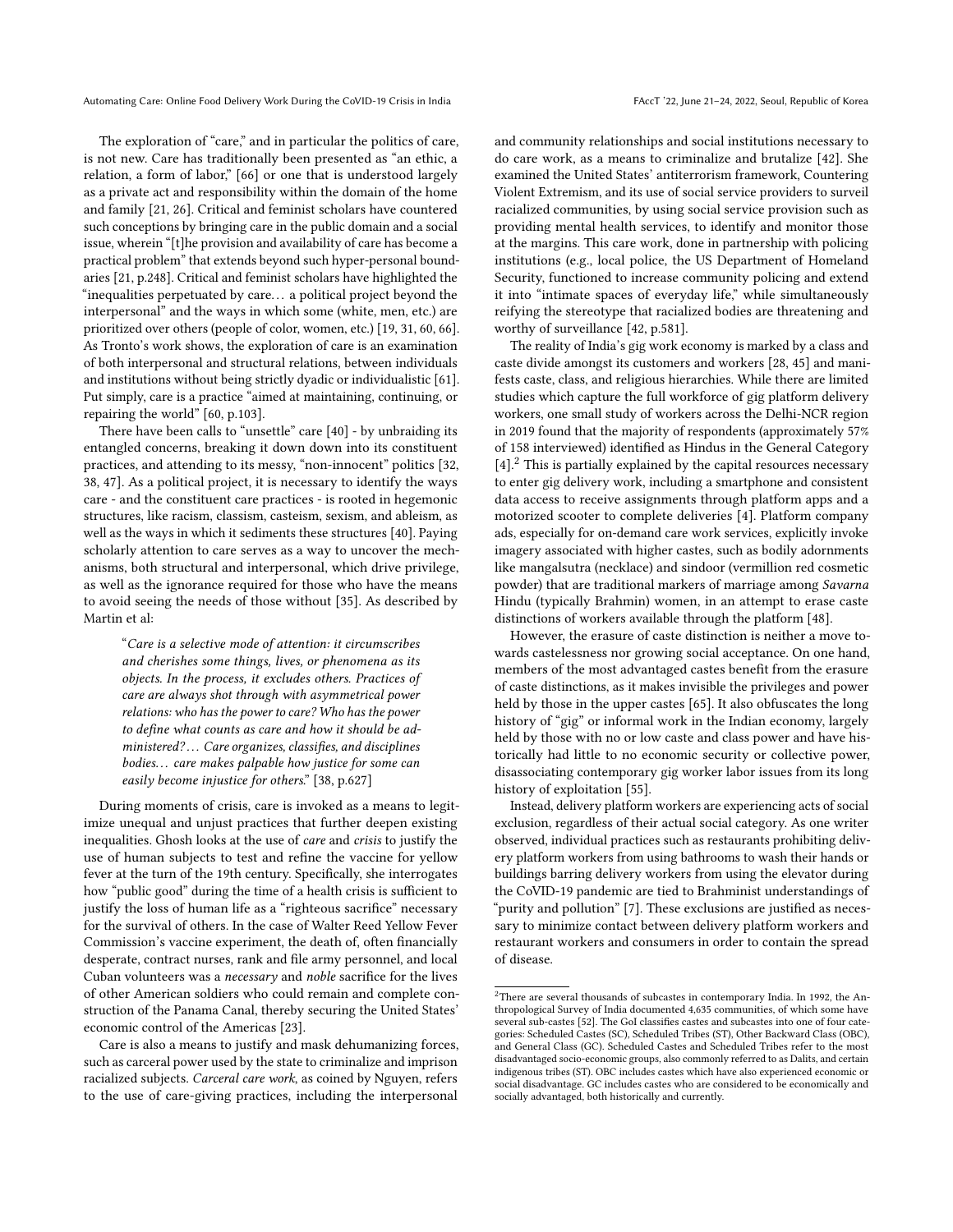The exploration of "care," and in particular the politics of care, is not new. Care has traditionally been presented as "an ethic, a relation, a form of labor," [\[66\]](#page-11-3) or one that is understood largely as a private act and responsibility within the domain of the home and family [\[21,](#page-10-2) [26\]](#page-10-3). Critical and feminist scholars have countered such conceptions by bringing care in the public domain and a social issue, wherein "[t]he provision and availability of care has become a practical problem" that extends beyond such hyper-personal boundaries [\[21,](#page-10-2) p.248]. Critical and feminist scholars have highlighted the "inequalities perpetuated by care. . . a political project beyond the interpersonal" and the ways in which some (white, men, etc.) are prioritized over others (people of color, women, etc.) [\[19,](#page-10-4) [31,](#page-10-5) [60,](#page-11-4) [66\]](#page-11-3). As Tronto's work shows, the exploration of care is an examination of both interpersonal and structural relations, between individuals and institutions without being strictly dyadic or individualistic [\[61\]](#page-11-5). Put simply, care is a practice "aimed at maintaining, continuing, or repairing the world" [\[60,](#page-11-4) p.103].

There have been calls to "unsettle" care [\[40\]](#page-10-6) - by unbraiding its entangled concerns, breaking it down down into its constituent practices, and attending to its messy, "non-innocent" politics [\[32,](#page-10-7) [38,](#page-10-8) [47\]](#page-10-9). As a political project, it is necessary to identify the ways care - and the constituent care practices - is rooted in hegemonic structures, like racism, classism, casteism, sexism, and ableism, as well as the ways in which it sediments these structures [\[40\]](#page-10-6). Paying scholarly attention to care serves as a way to uncover the mechanisms, both structural and interpersonal, which drive privilege, as well as the ignorance required for those who have the means to avoid seeing the needs of those without [\[35\]](#page-10-10). As described by Martin et al:

"Care is a selective mode of attention: it circumscribes and cherishes some things, lives, or phenomena as its objects. In the process, it excludes others. Practices of care are always shot through with asymmetrical power relations: who has the power to care? Who has the power to define what counts as care and how it should be administered? ... Care organizes, classifies, and disciplines bodies. . . care makes palpable how justice for some can easily become injustice for others." [\[38,](#page-10-8) p.627]

During moments of crisis, care is invoked as a means to legitimize unequal and unjust practices that further deepen existing inequalities. Ghosh looks at the use of care and crisis to justify the use of human subjects to test and refine the vaccine for yellow fever at the turn of the 19th century. Specifically, she interrogates how "public good" during the time of a health crisis is sufficient to justify the loss of human life as a "righteous sacrifice" necessary for the survival of others. In the case of Walter Reed Yellow Fever Commission's vaccine experiment, the death of, often financially desperate, contract nurses, rank and file army personnel, and local Cuban volunteers was a necessary and noble sacrifice for the lives of other American soldiers who could remain and complete construction of the Panama Canal, thereby securing the United States' economic control of the Americas [\[23\]](#page-10-11).

Care is also a means to justify and mask dehumanizing forces, such as carceral power used by the state to criminalize and imprison racialized subjects. Carceral care work, as coined by Nguyen, refers to the use of care-giving practices, including the interpersonal

and community relationships and social institutions necessary to do care work, as a means to criminalize and brutalize [\[42\]](#page-10-12). She examined the United States' antiterrorism framework, Countering Violent Extremism, and its use of social service providers to surveil racialized communities, by using social service provision such as providing mental health services, to identify and monitor those at the margins. This care work, done in partnership with policing institutions (e.g., local police, the US Department of Homeland Security, functioned to increase community policing and extend it into "intimate spaces of everyday life," while simultaneously reifying the stereotype that racialized bodies are threatening and worthy of surveillance [\[42,](#page-10-12) p.581].

The reality of India's gig work economy is marked by a class and caste divide amongst its customers and workers [\[28,](#page-10-13) [45\]](#page-10-14) and manifests caste, class, and religious hierarchies. While there are limited studies which capture the full workforce of gig platform delivery workers, one small study of workers across the Delhi-NCR region in 2019 found that the majority of respondents (approximately 57% of 158 interviewed) identified as Hindus in the General Category  $[4]$ <sup>[2](#page-2-0)</sup>. This is partially explained by the capital resources necessary to enter gig delivery work, including a smartphone and consistent data access to receive assignments through platform apps and a motorized scooter to complete deliveries [\[4\]](#page-10-15). Platform company ads, especially for on-demand care work services, explicitly invoke imagery associated with higher castes, such as bodily adornments like mangalsutra (necklace) and sindoor (vermillion red cosmetic powder) that are traditional markers of marriage among Savarna Hindu (typically Brahmin) women, in an attempt to erase caste distinctions of workers available through the platform [\[48\]](#page-10-16).

However, the erasure of caste distinction is neither a move towards castelessness nor growing social acceptance. On one hand, members of the most advantaged castes benefit from the erasure of caste distinctions, as it makes invisible the privileges and power held by those in the upper castes [\[65\]](#page-11-6). It also obfuscates the long history of "gig" or informal work in the Indian economy, largely held by those with no or low caste and class power and have historically had little to no economic security or collective power, disassociating contemporary gig worker labor issues from its long history of exploitation [\[55\]](#page-11-7).

Instead, delivery platform workers are experiencing acts of social exclusion, regardless of their actual social category. As one writer observed, individual practices such as restaurants prohibiting delivery platform workers from using bathrooms to wash their hands or buildings barring delivery workers from using the elevator during the CoVID-19 pandemic are tied to Brahminist understandings of "purity and pollution" [\[7\]](#page-10-17). These exclusions are justified as necessary to minimize contact between delivery platform workers and restaurant workers and consumers in order to contain the spread of disease.

<span id="page-2-0"></span> $2$ There are several thousands of subcastes in contemporary India. In 1992, the Anthropological Survey of India documented 4,635 communities, of which some have several sub-castes [\[52\]](#page-11-8). The GoI classifies castes and subcastes into one of four categories: Scheduled Castes (SC), Scheduled Tribes (ST), Other Backward Class (OBC), and General Class (GC). Scheduled Castes and Scheduled Tribes refer to the most disadvantaged socio-economic groups, also commonly referred to as Dalits, and certain indigenous tribes (ST). OBC includes castes which have also experienced economic or social disadvantage. GC includes castes who are considered to be economically and socially advantaged, both historically and currently.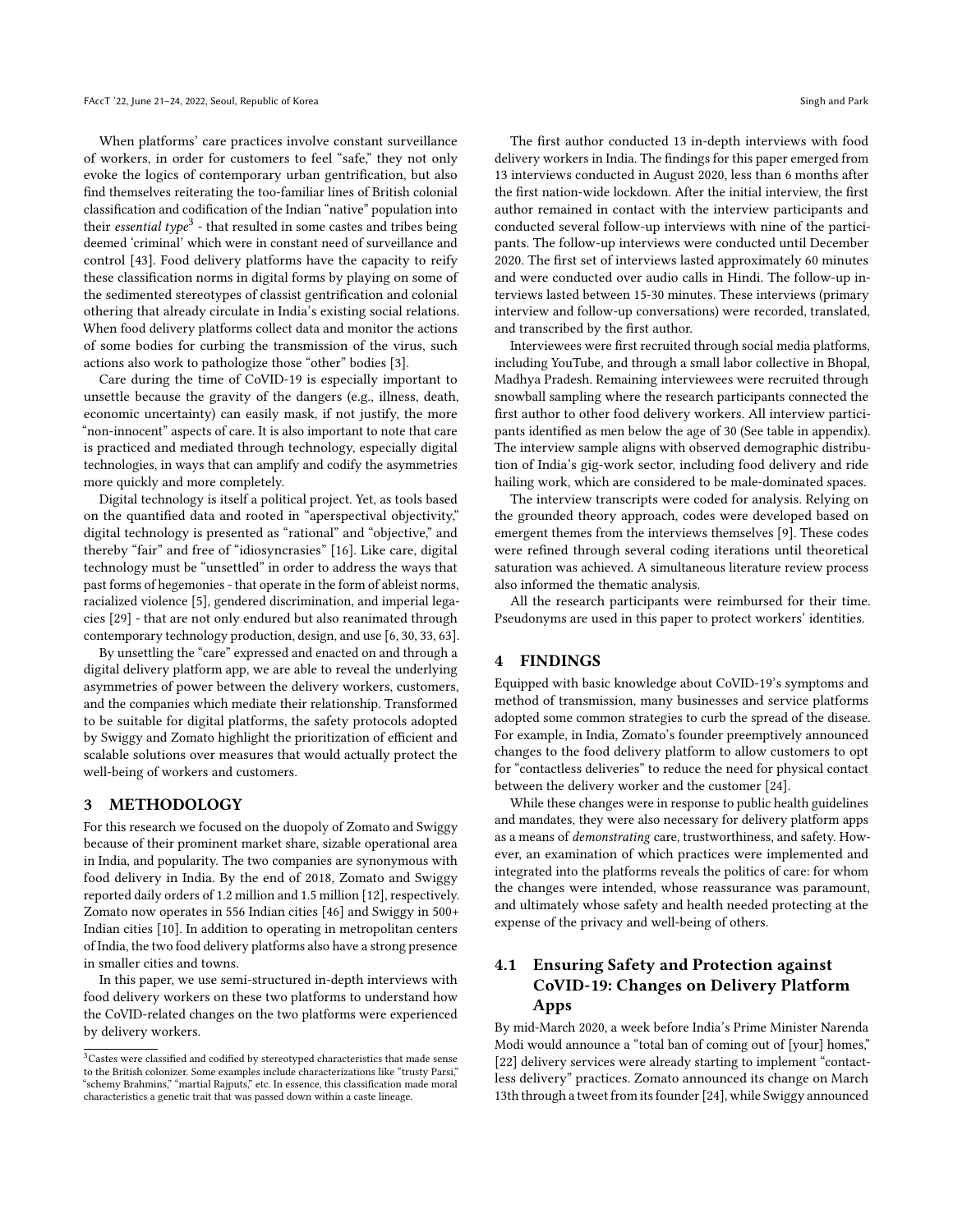When platforms' care practices involve constant surveillance of workers, in order for customers to feel "safe," they not only evoke the logics of contemporary urban gentrification, but also find themselves reiterating the too-familiar lines of British colonial classification and codification of the Indian "native" population into their *essential type*<sup>[3](#page-3-0)</sup> - that resulted in some castes and tribes being deemed 'criminal' which were in constant need of surveillance and control [\[43\]](#page-10-18). Food delivery platforms have the capacity to reify these classification norms in digital forms by playing on some of the sedimented stereotypes of classist gentrification and colonial othering that already circulate in India's existing social relations. When food delivery platforms collect data and monitor the actions of some bodies for curbing the transmission of the virus, such actions also work to pathologize those "other" bodies [\[3\]](#page-10-19).

Care during the time of CoVID-19 is especially important to unsettle because the gravity of the dangers (e.g., illness, death, economic uncertainty) can easily mask, if not justify, the more "non-innocent" aspects of care. It is also important to note that care is practiced and mediated through technology, especially digital technologies, in ways that can amplify and codify the asymmetries more quickly and more completely.

Digital technology is itself a political project. Yet, as tools based on the quantified data and rooted in "aperspectival objectivity," digital technology is presented as "rational" and "objective," and thereby "fair" and free of "idiosyncrasies" [\[16\]](#page-10-20). Like care, digital technology must be "unsettled" in order to address the ways that past forms of hegemonies - that operate in the form of ableist norms, racialized violence [\[5\]](#page-10-21), gendered discrimination, and imperial legacies [\[29\]](#page-10-22) - that are not only endured but also reanimated through contemporary technology production, design, and use [\[6,](#page-10-23) [30,](#page-10-24) [33,](#page-10-25) [63\]](#page-11-9).

By unsettling the "care" expressed and enacted on and through a digital delivery platform app, we are able to reveal the underlying asymmetries of power between the delivery workers, customers, and the companies which mediate their relationship. Transformed to be suitable for digital platforms, the safety protocols adopted by Swiggy and Zomato highlight the prioritization of efficient and scalable solutions over measures that would actually protect the well-being of workers and customers.

### 3 METHODOLOGY

For this research we focused on the duopoly of Zomato and Swiggy because of their prominent market share, sizable operational area in India, and popularity. The two companies are synonymous with food delivery in India. By the end of 2018, Zomato and Swiggy reported daily orders of 1.2 million and 1.5 million [\[12\]](#page-10-26), respectively. Zomato now operates in 556 Indian cities [\[46\]](#page-10-27) and Swiggy in 500+ Indian cities [\[10\]](#page-10-28). In addition to operating in metropolitan centers of India, the two food delivery platforms also have a strong presence in smaller cities and towns.

In this paper, we use semi-structured in-depth interviews with food delivery workers on these two platforms to understand how the CoVID-related changes on the two platforms were experienced by delivery workers.

The first author conducted 13 in-depth interviews with food delivery workers in India. The findings for this paper emerged from 13 interviews conducted in August 2020, less than 6 months after the first nation-wide lockdown. After the initial interview, the first author remained in contact with the interview participants and conducted several follow-up interviews with nine of the participants. The follow-up interviews were conducted until December 2020. The first set of interviews lasted approximately 60 minutes and were conducted over audio calls in Hindi. The follow-up interviews lasted between 15-30 minutes. These interviews (primary interview and follow-up conversations) were recorded, translated, and transcribed by the first author.

Interviewees were first recruited through social media platforms, including YouTube, and through a small labor collective in Bhopal, Madhya Pradesh. Remaining interviewees were recruited through snowball sampling where the research participants connected the first author to other food delivery workers. All interview participants identified as men below the age of 30 (See table in appendix). The interview sample aligns with observed demographic distribution of India's gig-work sector, including food delivery and ride hailing work, which are considered to be male-dominated spaces.

The interview transcripts were coded for analysis. Relying on the grounded theory approach, codes were developed based on emergent themes from the interviews themselves [\[9\]](#page-10-29). These codes were refined through several coding iterations until theoretical saturation was achieved. A simultaneous literature review process also informed the thematic analysis.

All the research participants were reimbursed for their time. Pseudonyms are used in this paper to protect workers' identities.

#### 4 FINDINGS

Equipped with basic knowledge about CoVID-19's symptoms and method of transmission, many businesses and service platforms adopted some common strategies to curb the spread of the disease. For example, in India, Zomato's founder preemptively announced changes to the food delivery platform to allow customers to opt for "contactless deliveries" to reduce the need for physical contact between the delivery worker and the customer [\[24\]](#page-10-30).

While these changes were in response to public health guidelines and mandates, they were also necessary for delivery platform apps as a means of demonstrating care, trustworthiness, and safety. However, an examination of which practices were implemented and integrated into the platforms reveals the politics of care: for whom the changes were intended, whose reassurance was paramount, and ultimately whose safety and health needed protecting at the expense of the privacy and well-being of others.

# 4.1 Ensuring Safety and Protection against CoVID-19: Changes on Delivery Platform Apps

By mid-March 2020, a week before India's Prime Minister Narenda Modi would announce a "total ban of coming out of [your] homes," [\[22\]](#page-10-31) delivery services were already starting to implement "contactless delivery" practices. Zomato announced its change on March 13th through a tweet from its founder [\[24\]](#page-10-30), while Swiggy announced

<span id="page-3-0"></span> $^3\rm{Castes}$  were classified and codified by stereotyped characteristics that made sense to the British colonizer. Some examples include characterizations like "trusty Parsi," "schemy Brahmins," "martial Rajputs," etc. In essence, this classification made moral characteristics a genetic trait that was passed down within a caste lineage.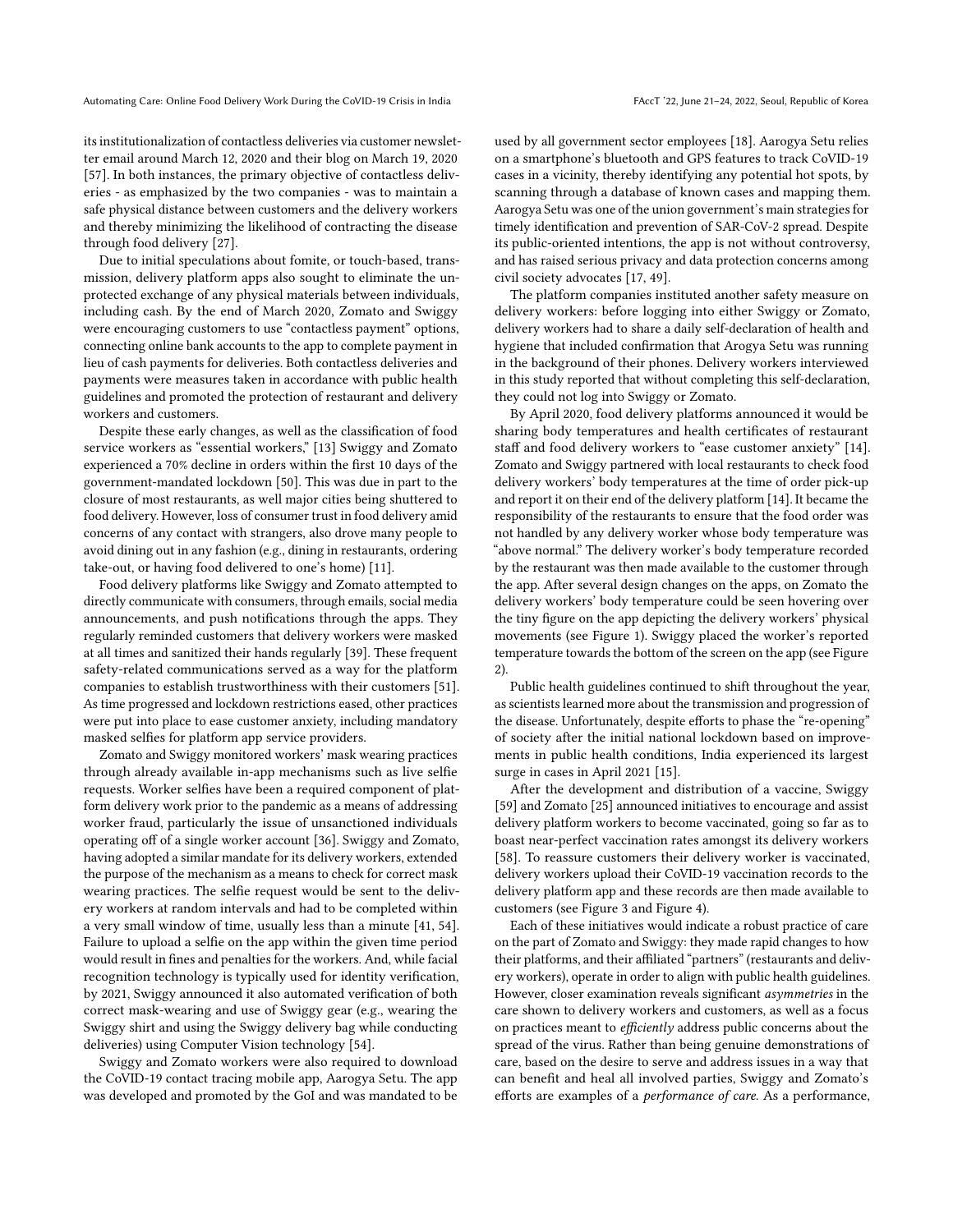its institutionalization of contactless deliveries via customer newsletter email around March 12, 2020 and their blog on March 19, 2020 [\[57\]](#page-11-10). In both instances, the primary objective of contactless deliveries - as emphasized by the two companies - was to maintain a safe physical distance between customers and the delivery workers and thereby minimizing the likelihood of contracting the disease through food delivery [\[27\]](#page-10-32).

Due to initial speculations about fomite, or touch-based, transmission, delivery platform apps also sought to eliminate the unprotected exchange of any physical materials between individuals, including cash. By the end of March 2020, Zomato and Swiggy were encouraging customers to use "contactless payment" options, connecting online bank accounts to the app to complete payment in lieu of cash payments for deliveries. Both contactless deliveries and payments were measures taken in accordance with public health guidelines and promoted the protection of restaurant and delivery workers and customers.

Despite these early changes, as well as the classification of food service workers as "essential workers," [\[13\]](#page-10-33) Swiggy and Zomato experienced a 70% decline in orders within the first 10 days of the government-mandated lockdown [\[50\]](#page-11-11). This was due in part to the closure of most restaurants, as well major cities being shuttered to food delivery. However, loss of consumer trust in food delivery amid concerns of any contact with strangers, also drove many people to avoid dining out in any fashion (e.g., dining in restaurants, ordering take-out, or having food delivered to one's home) [\[11\]](#page-10-34).

Food delivery platforms like Swiggy and Zomato attempted to directly communicate with consumers, through emails, social media announcements, and push notifications through the apps. They regularly reminded customers that delivery workers were masked at all times and sanitized their hands regularly [\[39\]](#page-10-35). These frequent safety-related communications served as a way for the platform companies to establish trustworthiness with their customers [\[51\]](#page-11-12). As time progressed and lockdown restrictions eased, other practices were put into place to ease customer anxiety, including mandatory masked selfies for platform app service providers.

Zomato and Swiggy monitored workers' mask wearing practices through already available in-app mechanisms such as live selfie requests. Worker selfies have been a required component of platform delivery work prior to the pandemic as a means of addressing worker fraud, particularly the issue of unsanctioned individuals operating off of a single worker account [\[36\]](#page-10-36). Swiggy and Zomato, having adopted a similar mandate for its delivery workers, extended the purpose of the mechanism as a means to check for correct mask wearing practices. The selfie request would be sent to the delivery workers at random intervals and had to be completed within a very small window of time, usually less than a minute [\[41,](#page-10-37) [54\]](#page-11-13). Failure to upload a selfie on the app within the given time period would result in fines and penalties for the workers. And, while facial recognition technology is typically used for identity verification, by 2021, Swiggy announced it also automated verification of both correct mask-wearing and use of Swiggy gear (e.g., wearing the Swiggy shirt and using the Swiggy delivery bag while conducting deliveries) using Computer Vision technology [\[54\]](#page-11-13).

Swiggy and Zomato workers were also required to download the CoVID-19 contact tracing mobile app, Aarogya Setu. The app was developed and promoted by the GoI and was mandated to be used by all government sector employees [\[18\]](#page-10-38). Aarogya Setu relies on a smartphone's bluetooth and GPS features to track CoVID-19 cases in a vicinity, thereby identifying any potential hot spots, by scanning through a database of known cases and mapping them. Aarogya Setu was one of the union government's main strategies for timely identification and prevention of SAR-CoV-2 spread. Despite its public-oriented intentions, the app is not without controversy, and has raised serious privacy and data protection concerns among civil society advocates [\[17,](#page-10-0) [49\]](#page-11-0).

The platform companies instituted another safety measure on delivery workers: before logging into either Swiggy or Zomato, delivery workers had to share a daily self-declaration of health and hygiene that included confirmation that Arogya Setu was running in the background of their phones. Delivery workers interviewed in this study reported that without completing this self-declaration, they could not log into Swiggy or Zomato.

By April 2020, food delivery platforms announced it would be sharing body temperatures and health certificates of restaurant staff and food delivery workers to "ease customer anxiety" [\[14\]](#page-10-39). Zomato and Swiggy partnered with local restaurants to check food delivery workers' body temperatures at the time of order pick-up and report it on their end of the delivery platform [\[14\]](#page-10-39). It became the responsibility of the restaurants to ensure that the food order was not handled by any delivery worker whose body temperature was "above normal." The delivery worker's body temperature recorded by the restaurant was then made available to the customer through the app. After several design changes on the apps, on Zomato the delivery workers' body temperature could be seen hovering over the tiny figure on the app depicting the delivery workers' physical movements (see Figure [1\)](#page-5-0). Swiggy placed the worker's reported temperature towards the bottom of the screen on the app (see Figure [2\)](#page-5-1).

Public health guidelines continued to shift throughout the year, as scientists learned more about the transmission and progression of the disease. Unfortunately, despite efforts to phase the "re-opening" of society after the initial national lockdown based on improvements in public health conditions, India experienced its largest surge in cases in April 2021 [\[15\]](#page-10-40).

After the development and distribution of a vaccine, Swiggy [\[59\]](#page-11-14) and Zomato [\[25\]](#page-10-41) announced initiatives to encourage and assist delivery platform workers to become vaccinated, going so far as to boast near-perfect vaccination rates amongst its delivery workers [\[58\]](#page-11-15). To reassure customers their delivery worker is vaccinated, delivery workers upload their CoVID-19 vaccination records to the delivery platform app and these records are then made available to customers (see Figure [3](#page-6-0) and Figure [4\)](#page-6-1).

Each of these initiatives would indicate a robust practice of care on the part of Zomato and Swiggy: they made rapid changes to how their platforms, and their affiliated "partners" (restaurants and delivery workers), operate in order to align with public health guidelines. However, closer examination reveals significant asymmetries in the care shown to delivery workers and customers, as well as a focus on practices meant to efficiently address public concerns about the spread of the virus. Rather than being genuine demonstrations of care, based on the desire to serve and address issues in a way that can benefit and heal all involved parties, Swiggy and Zomato's efforts are examples of a performance of care. As a performance,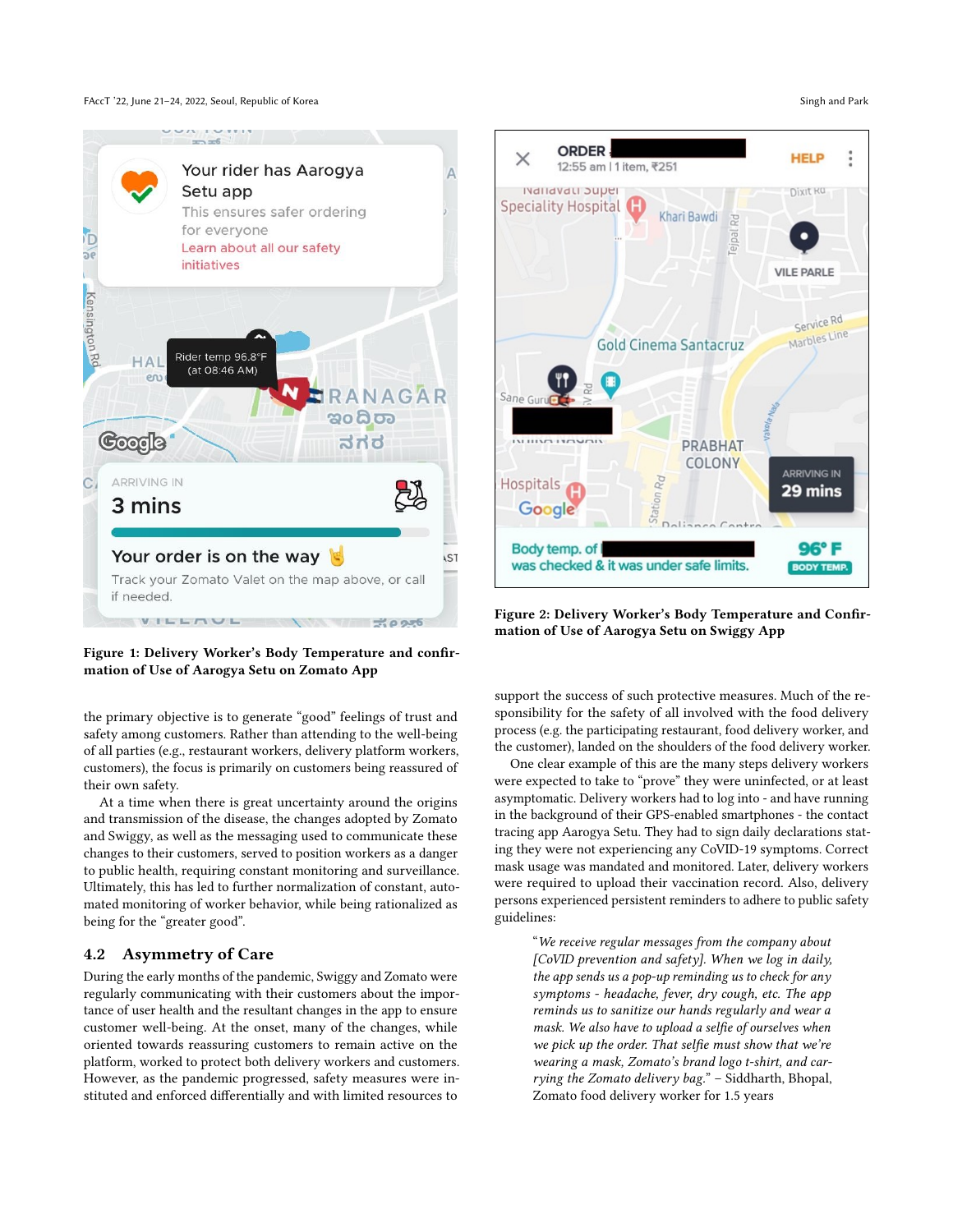FAccT '22, June 21–24, 2022, Seoul, Republic of Korea Singh and Park Singh and Park Singh and Park Singh and Park

<span id="page-5-0"></span>

Figure 1: Delivery Worker's Body Temperature and confirmation of Use of Aarogya Setu on Zomato App

the primary objective is to generate "good" feelings of trust and safety among customers. Rather than attending to the well-being of all parties (e.g., restaurant workers, delivery platform workers, customers), the focus is primarily on customers being reassured of their own safety.

At a time when there is great uncertainty around the origins and transmission of the disease, the changes adopted by Zomato and Swiggy, as well as the messaging used to communicate these changes to their customers, served to position workers as a danger to public health, requiring constant monitoring and surveillance. Ultimately, this has led to further normalization of constant, automated monitoring of worker behavior, while being rationalized as being for the "greater good".

# 4.2 Asymmetry of Care

During the early months of the pandemic, Swiggy and Zomato were regularly communicating with their customers about the importance of user health and the resultant changes in the app to ensure customer well-being. At the onset, many of the changes, while oriented towards reassuring customers to remain active on the platform, worked to protect both delivery workers and customers. However, as the pandemic progressed, safety measures were instituted and enforced differentially and with limited resources to

<span id="page-5-1"></span>

Figure 2: Delivery Worker's Body Temperature and Confirmation of Use of Aarogya Setu on Swiggy App

support the success of such protective measures. Much of the responsibility for the safety of all involved with the food delivery process (e.g. the participating restaurant, food delivery worker, and the customer), landed on the shoulders of the food delivery worker.

One clear example of this are the many steps delivery workers were expected to take to "prove" they were uninfected, or at least asymptomatic. Delivery workers had to log into - and have running in the background of their GPS-enabled smartphones - the contact tracing app Aarogya Setu. They had to sign daily declarations stating they were not experiencing any CoVID-19 symptoms. Correct mask usage was mandated and monitored. Later, delivery workers were required to upload their vaccination record. Also, delivery persons experienced persistent reminders to adhere to public safety guidelines:

> "We receive regular messages from the company about [CoVID prevention and safety]. When we log in daily, the app sends us a pop-up reminding us to check for any symptoms - headache, fever, dry cough, etc. The app reminds us to sanitize our hands regularly and wear a mask. We also have to upload a selfie of ourselves when we pick up the order. That selfie must show that we're wearing a mask, Zomato's brand logo t-shirt, and carrying the Zomato delivery bag." – Siddharth, Bhopal, Zomato food delivery worker for 1.5 years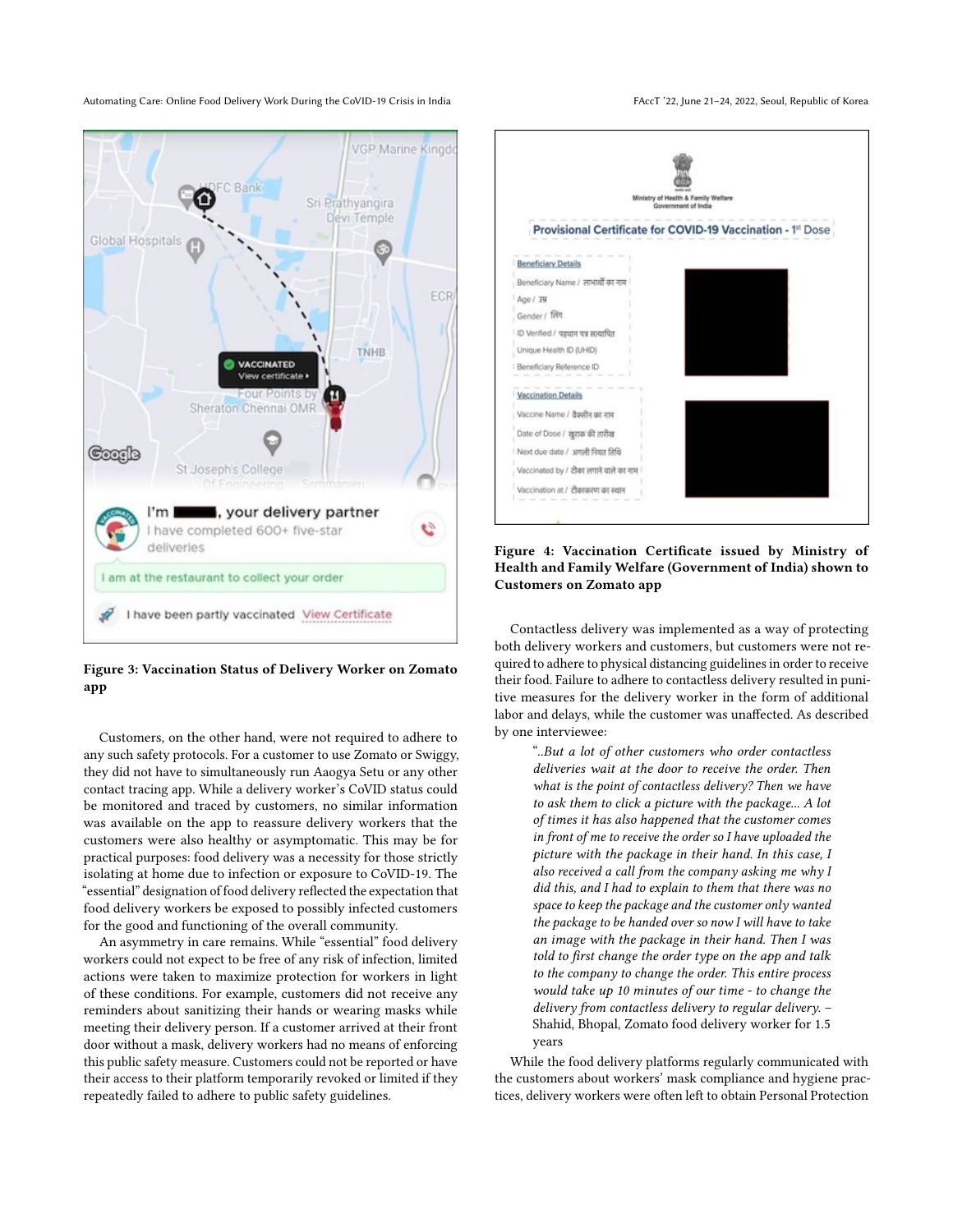<span id="page-6-0"></span>

Figure 3: Vaccination Status of Delivery Worker on Zomato app

Customers, on the other hand, were not required to adhere to any such safety protocols. For a customer to use Zomato or Swiggy, they did not have to simultaneously run Aaogya Setu or any other contact tracing app. While a delivery worker's CoVID status could be monitored and traced by customers, no similar information was available on the app to reassure delivery workers that the customers were also healthy or asymptomatic. This may be for practical purposes: food delivery was a necessity for those strictly isolating at home due to infection or exposure to CoVID-19. The "essential" designation of food delivery reflected the expectation that food delivery workers be exposed to possibly infected customers for the good and functioning of the overall community.

An asymmetry in care remains. While "essential" food delivery workers could not expect to be free of any risk of infection, limited actions were taken to maximize protection for workers in light of these conditions. For example, customers did not receive any reminders about sanitizing their hands or wearing masks while meeting their delivery person. If a customer arrived at their front door without a mask, delivery workers had no means of enforcing this public safety measure. Customers could not be reported or have their access to their platform temporarily revoked or limited if they repeatedly failed to adhere to public safety guidelines.

<span id="page-6-1"></span>

Figure 4: Vaccination Certificate issued by Ministry of Health and Family Welfare (Government of India) shown to Customers on Zomato app

Contactless delivery was implemented as a way of protecting both delivery workers and customers, but customers were not required to adhere to physical distancing guidelines in order to receive their food. Failure to adhere to contactless delivery resulted in punitive measures for the delivery worker in the form of additional labor and delays, while the customer was unaffected. As described by one interviewee:

> "..But a lot of other customers who order contactless deliveries wait at the door to receive the order. Then what is the point of contactless delivery? Then we have to ask them to click a picture with the package... A lot of times it has also happened that the customer comes in front of me to receive the order so I have uploaded the picture with the package in their hand. In this case, I also received a call from the company asking me why I did this, and I had to explain to them that there was no space to keep the package and the customer only wanted the package to be handed over so now I will have to take an image with the package in their hand. Then I was told to first change the order type on the app and talk to the company to change the order. This entire process would take up 10 minutes of our time - to change the delivery from contactless delivery to regular delivery. – Shahid, Bhopal, Zomato food delivery worker for 1.5 years

While the food delivery platforms regularly communicated with the customers about workers' mask compliance and hygiene practices, delivery workers were often left to obtain Personal Protection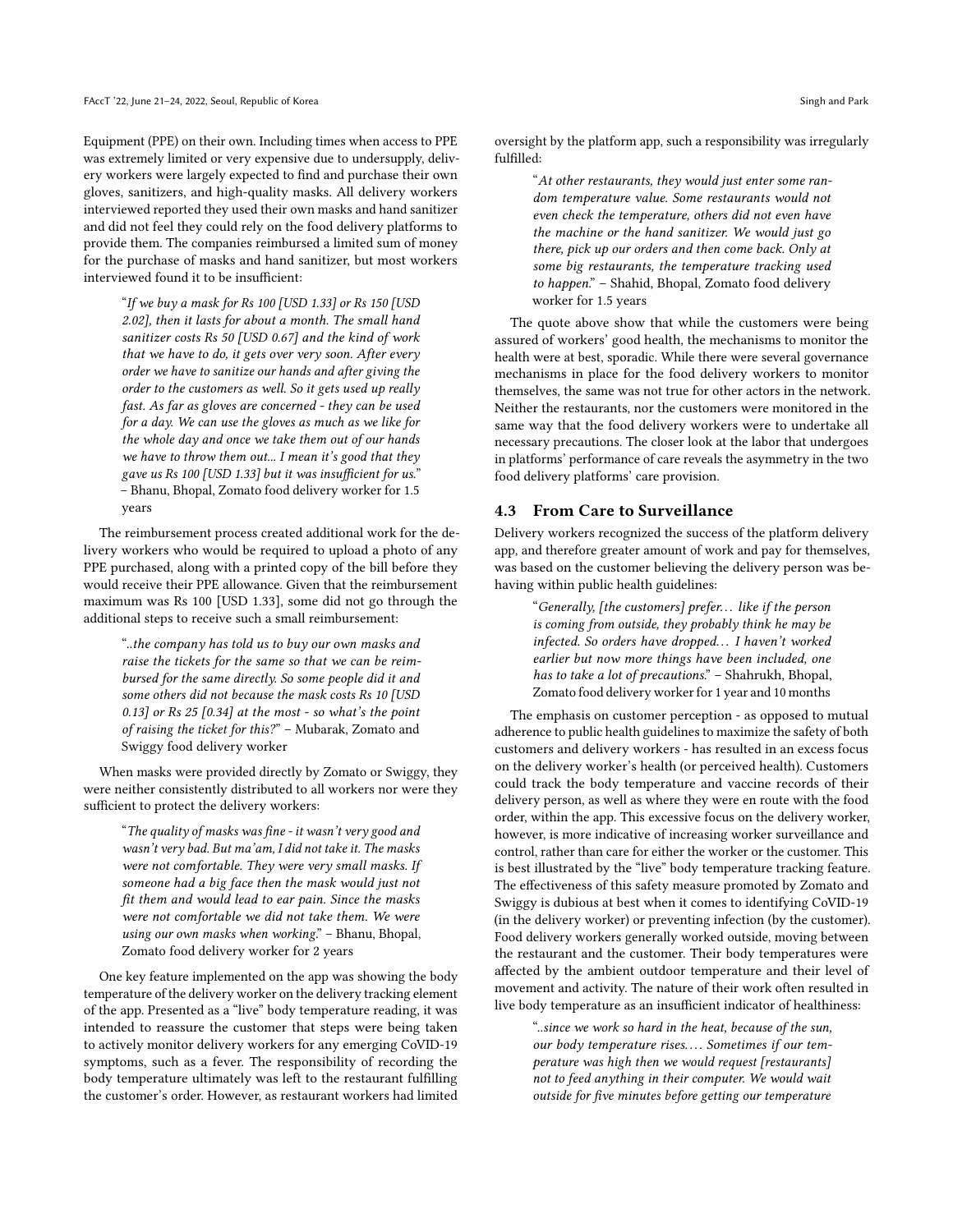Equipment (PPE) on their own. Including times when access to PPE was extremely limited or very expensive due to undersupply, delivery workers were largely expected to find and purchase their own gloves, sanitizers, and high-quality masks. All delivery workers interviewed reported they used their own masks and hand sanitizer and did not feel they could rely on the food delivery platforms to provide them. The companies reimbursed a limited sum of money for the purchase of masks and hand sanitizer, but most workers interviewed found it to be insufficient:

"If we buy a mask for Rs 100 [USD 1.33] or Rs 150 [USD 2.02], then it lasts for about a month. The small hand sanitizer costs Rs 50 [USD 0.67] and the kind of work that we have to do, it gets over very soon. After every order we have to sanitize our hands and after giving the order to the customers as well. So it gets used up really fast. As far as gloves are concerned - they can be used for a day. We can use the gloves as much as we like for the whole day and once we take them out of our hands we have to throw them out... I mean it's good that they gave us Rs 100 [USD 1.33] but it was insufficient for us." – Bhanu, Bhopal, Zomato food delivery worker for 1.5 years

The reimbursement process created additional work for the delivery workers who would be required to upload a photo of any PPE purchased, along with a printed copy of the bill before they would receive their PPE allowance. Given that the reimbursement maximum was Rs 100 [USD 1.33], some did not go through the additional steps to receive such a small reimbursement:

"..the company has told us to buy our own masks and raise the tickets for the same so that we can be reimbursed for the same directly. So some people did it and some others did not because the mask costs Rs 10 [USD 0.13] or Rs 25 [0.34] at the most - so what's the point of raising the ticket for this?" – Mubarak, Zomato and Swiggy food delivery worker

When masks were provided directly by Zomato or Swiggy, they were neither consistently distributed to all workers nor were they sufficient to protect the delivery workers:

"The quality of masks was fine - it wasn't very good and wasn't very bad. But ma'am, I did not take it. The masks were not comfortable. They were very small masks. If someone had a big face then the mask would just not fit them and would lead to ear pain. Since the masks were not comfortable we did not take them. We were using our own masks when working." – Bhanu, Bhopal, Zomato food delivery worker for 2 years

One key feature implemented on the app was showing the body temperature of the delivery worker on the delivery tracking element of the app. Presented as a "live" body temperature reading, it was intended to reassure the customer that steps were being taken to actively monitor delivery workers for any emerging CoVID-19 symptoms, such as a fever. The responsibility of recording the body temperature ultimately was left to the restaurant fulfilling the customer's order. However, as restaurant workers had limited oversight by the platform app, such a responsibility was irregularly fulfilled:

> "At other restaurants, they would just enter some random temperature value. Some restaurants would not even check the temperature, others did not even have the machine or the hand sanitizer. We would just go there, pick up our orders and then come back. Only at some big restaurants, the temperature tracking used to happen." – Shahid, Bhopal, Zomato food delivery worker for 1.5 years

The quote above show that while the customers were being assured of workers' good health, the mechanisms to monitor the health were at best, sporadic. While there were several governance mechanisms in place for the food delivery workers to monitor themselves, the same was not true for other actors in the network. Neither the restaurants, nor the customers were monitored in the same way that the food delivery workers were to undertake all necessary precautions. The closer look at the labor that undergoes in platforms' performance of care reveals the asymmetry in the two food delivery platforms' care provision.

### 4.3 From Care to Surveillance

Delivery workers recognized the success of the platform delivery app, and therefore greater amount of work and pay for themselves, was based on the customer believing the delivery person was behaving within public health guidelines:

> "Generally, [the customers] prefer. . . like if the person is coming from outside, they probably think he may be infected. So orders have dropped. . . I haven't worked earlier but now more things have been included, one has to take a lot of precautions." - Shahrukh, Bhopal, Zomato food delivery worker for 1 year and 10 months

The emphasis on customer perception - as opposed to mutual adherence to public health guidelines to maximize the safety of both customers and delivery workers - has resulted in an excess focus on the delivery worker's health (or perceived health). Customers could track the body temperature and vaccine records of their delivery person, as well as where they were en route with the food order, within the app. This excessive focus on the delivery worker, however, is more indicative of increasing worker surveillance and control, rather than care for either the worker or the customer. This is best illustrated by the "live" body temperature tracking feature. The effectiveness of this safety measure promoted by Zomato and Swiggy is dubious at best when it comes to identifying CoVID-19 (in the delivery worker) or preventing infection (by the customer). Food delivery workers generally worked outside, moving between the restaurant and the customer. Their body temperatures were affected by the ambient outdoor temperature and their level of movement and activity. The nature of their work often resulted in live body temperature as an insufficient indicator of healthiness:

> "..since we work so hard in the heat, because of the sun, our body temperature rises.... Sometimes if our temperature was high then we would request [restaurants] not to feed anything in their computer. We would wait outside for five minutes before getting our temperature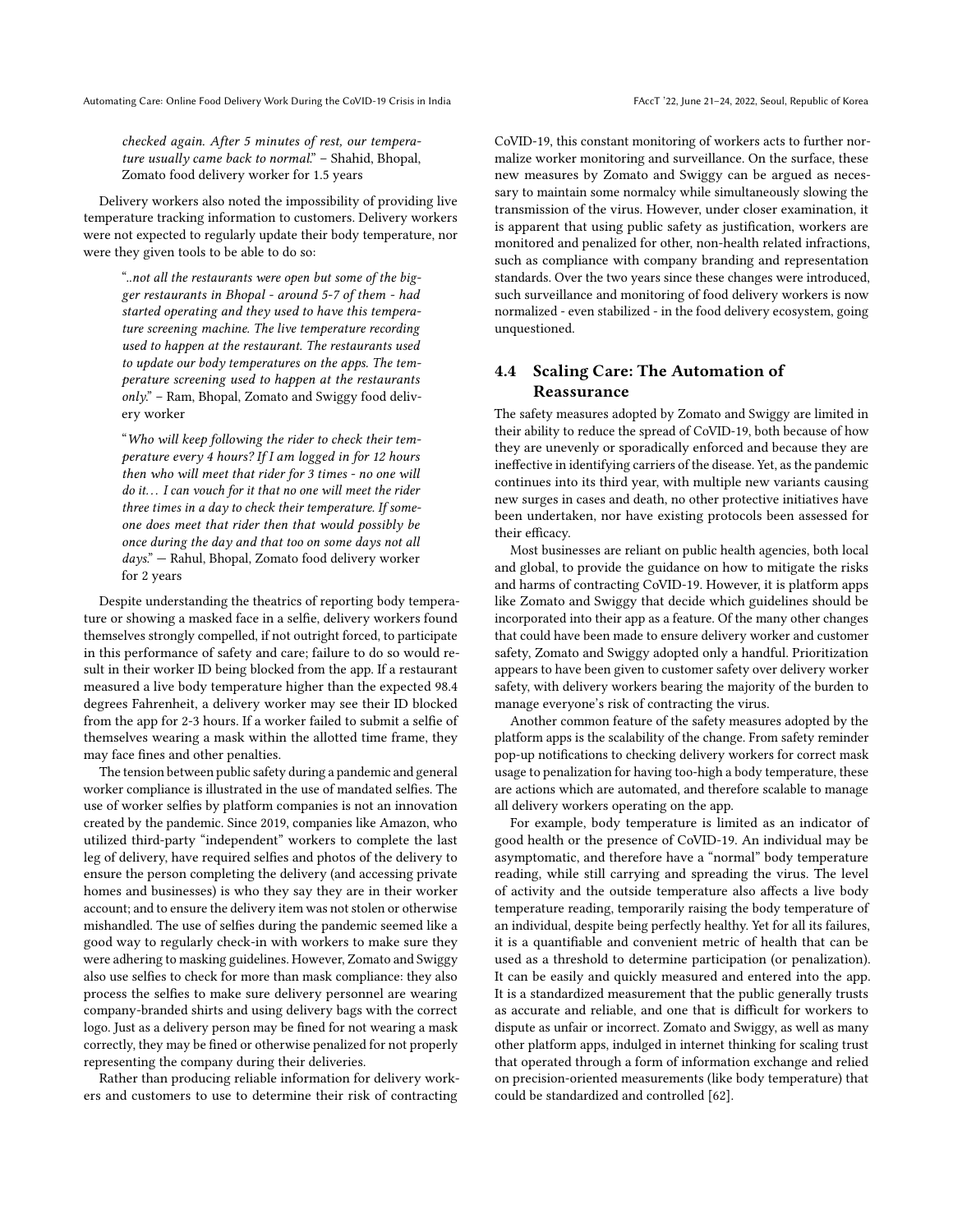checked again. After 5 minutes of rest, our temperature usually came back to normal." - Shahid, Bhopal, Zomato food delivery worker for 1.5 years

Delivery workers also noted the impossibility of providing live temperature tracking information to customers. Delivery workers were not expected to regularly update their body temperature, nor were they given tools to be able to do so:

> "..not all the restaurants were open but some of the bigger restaurants in Bhopal - around 5-7 of them - had started operating and they used to have this temperature screening machine. The live temperature recording used to happen at the restaurant. The restaurants used to update our body temperatures on the apps. The temperature screening used to happen at the restaurants only." – Ram, Bhopal, Zomato and Swiggy food delivery worker

> "Who will keep following the rider to check their temperature every 4 hours? If I am logged in for 12 hours then who will meet that rider for 3 times - no one will do it... I can vouch for it that no one will meet the rider three times in a day to check their temperature. If someone does meet that rider then that would possibly be once during the day and that too on some days not all  $days."$  – Rahul, Bhopal, Zomato food delivery worker for 2 years

Despite understanding the theatrics of reporting body temperature or showing a masked face in a selfie, delivery workers found themselves strongly compelled, if not outright forced, to participate in this performance of safety and care; failure to do so would result in their worker ID being blocked from the app. If a restaurant measured a live body temperature higher than the expected 98.4 degrees Fahrenheit, a delivery worker may see their ID blocked from the app for 2-3 hours. If a worker failed to submit a selfie of themselves wearing a mask within the allotted time frame, they may face fines and other penalties.

The tension between public safety during a pandemic and general worker compliance is illustrated in the use of mandated selfies. The use of worker selfies by platform companies is not an innovation created by the pandemic. Since 2019, companies like Amazon, who utilized third-party "independent" workers to complete the last leg of delivery, have required selfies and photos of the delivery to ensure the person completing the delivery (and accessing private homes and businesses) is who they say they are in their worker account; and to ensure the delivery item was not stolen or otherwise mishandled. The use of selfies during the pandemic seemed like a good way to regularly check-in with workers to make sure they were adhering to masking guidelines. However, Zomato and Swiggy also use selfies to check for more than mask compliance: they also process the selfies to make sure delivery personnel are wearing company-branded shirts and using delivery bags with the correct logo. Just as a delivery person may be fined for not wearing a mask correctly, they may be fined or otherwise penalized for not properly representing the company during their deliveries.

Rather than producing reliable information for delivery workers and customers to use to determine their risk of contracting

CoVID-19, this constant monitoring of workers acts to further normalize worker monitoring and surveillance. On the surface, these new measures by Zomato and Swiggy can be argued as necessary to maintain some normalcy while simultaneously slowing the transmission of the virus. However, under closer examination, it is apparent that using public safety as justification, workers are monitored and penalized for other, non-health related infractions, such as compliance with company branding and representation standards. Over the two years since these changes were introduced, such surveillance and monitoring of food delivery workers is now normalized - even stabilized - in the food delivery ecosystem, going unquestioned.

# 4.4 Scaling Care: The Automation of Reassurance

The safety measures adopted by Zomato and Swiggy are limited in their ability to reduce the spread of CoVID-19, both because of how they are unevenly or sporadically enforced and because they are ineffective in identifying carriers of the disease. Yet, as the pandemic continues into its third year, with multiple new variants causing new surges in cases and death, no other protective initiatives have been undertaken, nor have existing protocols been assessed for their efficacy.

Most businesses are reliant on public health agencies, both local and global, to provide the guidance on how to mitigate the risks and harms of contracting CoVID-19. However, it is platform apps like Zomato and Swiggy that decide which guidelines should be incorporated into their app as a feature. Of the many other changes that could have been made to ensure delivery worker and customer safety, Zomato and Swiggy adopted only a handful. Prioritization appears to have been given to customer safety over delivery worker safety, with delivery workers bearing the majority of the burden to manage everyone's risk of contracting the virus.

Another common feature of the safety measures adopted by the platform apps is the scalability of the change. From safety reminder pop-up notifications to checking delivery workers for correct mask usage to penalization for having too-high a body temperature, these are actions which are automated, and therefore scalable to manage all delivery workers operating on the app.

For example, body temperature is limited as an indicator of good health or the presence of CoVID-19. An individual may be asymptomatic, and therefore have a "normal" body temperature reading, while still carrying and spreading the virus. The level of activity and the outside temperature also affects a live body temperature reading, temporarily raising the body temperature of an individual, despite being perfectly healthy. Yet for all its failures, it is a quantifiable and convenient metric of health that can be used as a threshold to determine participation (or penalization). It can be easily and quickly measured and entered into the app. It is a standardized measurement that the public generally trusts as accurate and reliable, and one that is difficult for workers to dispute as unfair or incorrect. Zomato and Swiggy, as well as many other platform apps, indulged in internet thinking for scaling trust that operated through a form of information exchange and relied on precision-oriented measurements (like body temperature) that could be standardized and controlled [\[62\]](#page-11-16).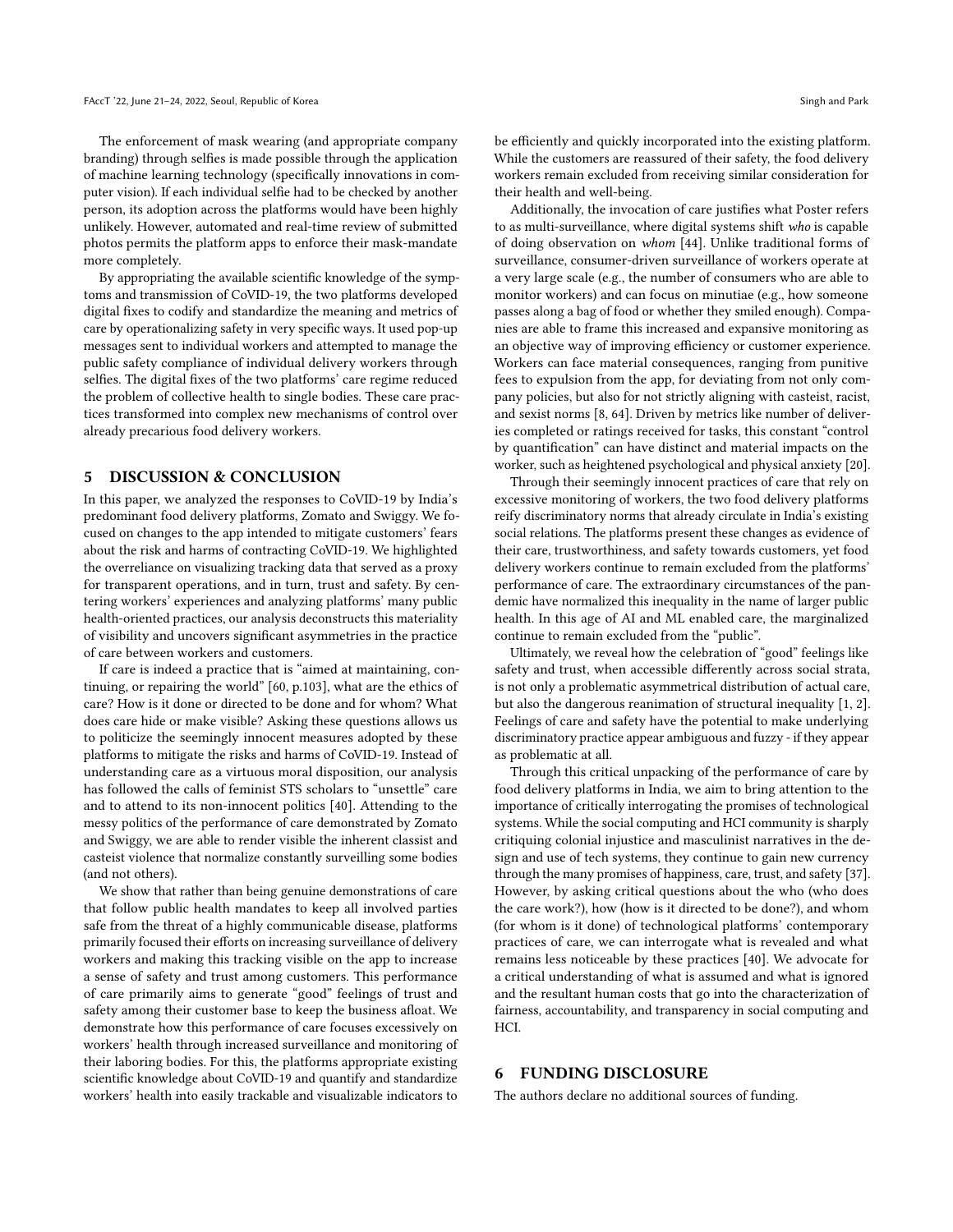The enforcement of mask wearing (and appropriate company branding) through selfies is made possible through the application of machine learning technology (specifically innovations in computer vision). If each individual selfie had to be checked by another person, its adoption across the platforms would have been highly unlikely. However, automated and real-time review of submitted photos permits the platform apps to enforce their mask-mandate more completely.

By appropriating the available scientific knowledge of the symptoms and transmission of CoVID-19, the two platforms developed digital fixes to codify and standardize the meaning and metrics of care by operationalizing safety in very specific ways. It used pop-up messages sent to individual workers and attempted to manage the public safety compliance of individual delivery workers through selfies. The digital fixes of the two platforms' care regime reduced the problem of collective health to single bodies. These care practices transformed into complex new mechanisms of control over already precarious food delivery workers.

### 5 DISCUSSION & CONCLUSION

In this paper, we analyzed the responses to CoVID-19 by India's predominant food delivery platforms, Zomato and Swiggy. We focused on changes to the app intended to mitigate customers' fears about the risk and harms of contracting CoVID-19. We highlighted the overreliance on visualizing tracking data that served as a proxy for transparent operations, and in turn, trust and safety. By centering workers' experiences and analyzing platforms' many public health-oriented practices, our analysis deconstructs this materiality of visibility and uncovers significant asymmetries in the practice of care between workers and customers.

If care is indeed a practice that is "aimed at maintaining, continuing, or repairing the world" [\[60,](#page-11-4) p.103], what are the ethics of care? How is it done or directed to be done and for whom? What does care hide or make visible? Asking these questions allows us to politicize the seemingly innocent measures adopted by these platforms to mitigate the risks and harms of CoVID-19. Instead of understanding care as a virtuous moral disposition, our analysis has followed the calls of feminist STS scholars to "unsettle" care and to attend to its non-innocent politics [\[40\]](#page-10-6). Attending to the messy politics of the performance of care demonstrated by Zomato and Swiggy, we are able to render visible the inherent classist and casteist violence that normalize constantly surveilling some bodies (and not others).

We show that rather than being genuine demonstrations of care that follow public health mandates to keep all involved parties safe from the threat of a highly communicable disease, platforms primarily focused their efforts on increasing surveillance of delivery workers and making this tracking visible on the app to increase a sense of safety and trust among customers. This performance of care primarily aims to generate "good" feelings of trust and safety among their customer base to keep the business afloat. We demonstrate how this performance of care focuses excessively on workers' health through increased surveillance and monitoring of their laboring bodies. For this, the platforms appropriate existing scientific knowledge about CoVID-19 and quantify and standardize workers' health into easily trackable and visualizable indicators to

be efficiently and quickly incorporated into the existing platform. While the customers are reassured of their safety, the food delivery workers remain excluded from receiving similar consideration for their health and well-being.

Additionally, the invocation of care justifies what Poster refers to as multi-surveillance, where digital systems shift who is capable of doing observation on whom [\[44\]](#page-10-42). Unlike traditional forms of surveillance, consumer-driven surveillance of workers operate at a very large scale (e.g., the number of consumers who are able to monitor workers) and can focus on minutiae (e.g., how someone passes along a bag of food or whether they smiled enough). Companies are able to frame this increased and expansive monitoring as an objective way of improving efficiency or customer experience. Workers can face material consequences, ranging from punitive fees to expulsion from the app, for deviating from not only company policies, but also for not strictly aligning with casteist, racist, and sexist norms [\[8,](#page-10-43) [64\]](#page-11-17). Driven by metrics like number of deliveries completed or ratings received for tasks, this constant "control by quantification" can have distinct and material impacts on the worker, such as heightened psychological and physical anxiety [\[20\]](#page-10-44).

Through their seemingly innocent practices of care that rely on excessive monitoring of workers, the two food delivery platforms reify discriminatory norms that already circulate in India's existing social relations. The platforms present these changes as evidence of their care, trustworthiness, and safety towards customers, yet food delivery workers continue to remain excluded from the platforms' performance of care. The extraordinary circumstances of the pandemic have normalized this inequality in the name of larger public health. In this age of AI and ML enabled care, the marginalized continue to remain excluded from the "public".

Ultimately, we reveal how the celebration of "good" feelings like safety and trust, when accessible differently across social strata, is not only a problematic asymmetrical distribution of actual care, but also the dangerous reanimation of structural inequality [\[1,](#page-10-45) [2\]](#page-10-46). Feelings of care and safety have the potential to make underlying discriminatory practice appear ambiguous and fuzzy - if they appear as problematic at all.

Through this critical unpacking of the performance of care by food delivery platforms in India, we aim to bring attention to the importance of critically interrogating the promises of technological systems. While the social computing and HCI community is sharply critiquing colonial injustice and masculinist narratives in the design and use of tech systems, they continue to gain new currency through the many promises of happiness, care, trust, and safety [\[37\]](#page-10-47). However, by asking critical questions about the who (who does the care work?), how (how is it directed to be done?), and whom (for whom is it done) of technological platforms' contemporary practices of care, we can interrogate what is revealed and what remains less noticeable by these practices [\[40\]](#page-10-6). We advocate for a critical understanding of what is assumed and what is ignored and the resultant human costs that go into the characterization of fairness, accountability, and transparency in social computing and HCI.

## 6 FUNDING DISCLOSURE

The authors declare no additional sources of funding.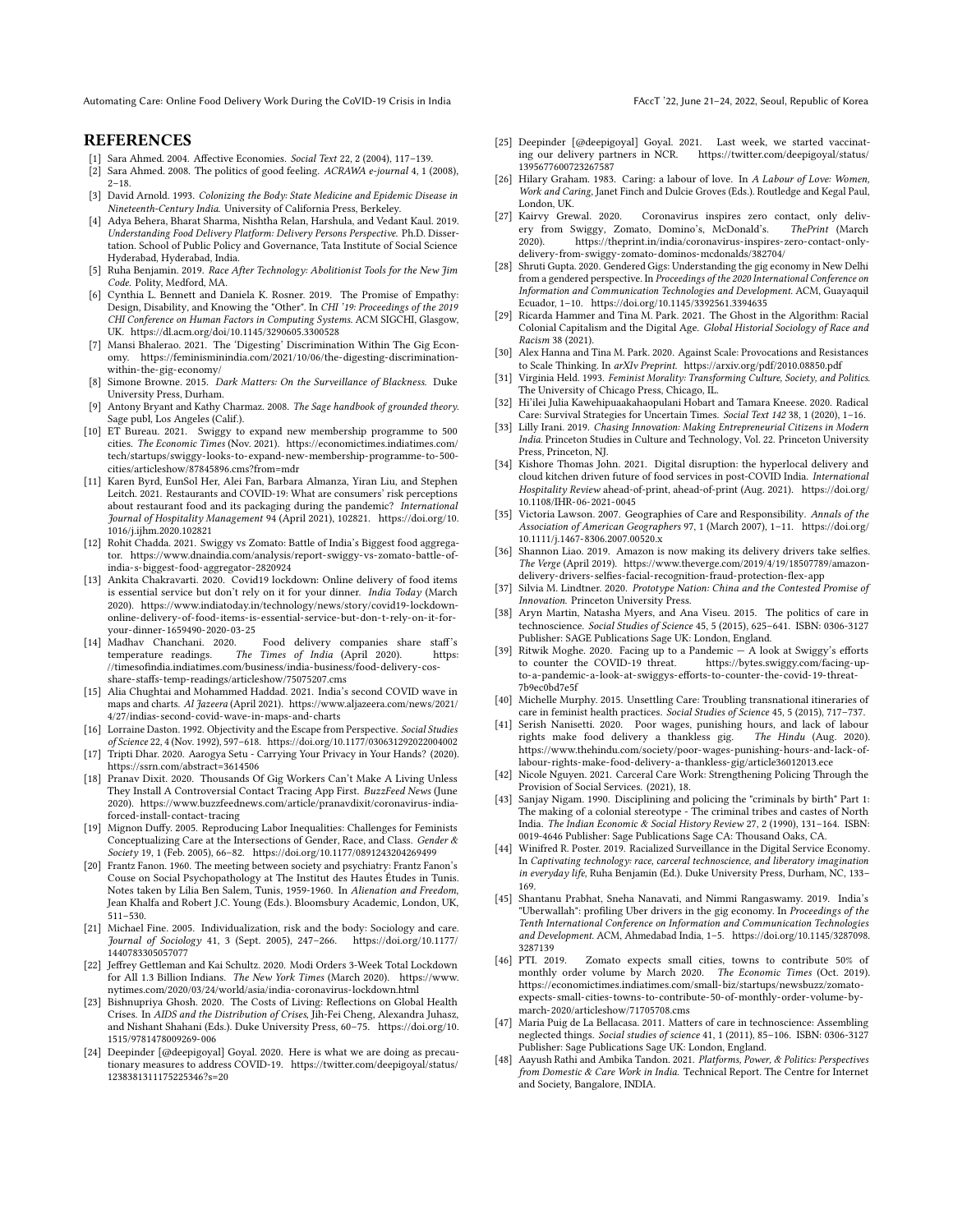## **REFERENCES**

- <span id="page-10-45"></span>[1] Sara Ahmed. 2004. Affective Economies. Social Text 22, 2 (2004), 117–139.
- <span id="page-10-46"></span>[2] Sara Ahmed. 2008. The politics of good feeling. ACRAWA e-journal 4, 1 (2008),  $2 - 18$
- <span id="page-10-19"></span>[3] David Arnold. 1993. Colonizing the Body: State Medicine and Epidemic Disease in Nineteenth-Century India. University of California Press, Berkeley.
- <span id="page-10-15"></span>[4] Adya Behera, Bharat Sharma, Nishtha Relan, Harshula, and Vedant Kaul. 2019. Understanding Food Delivery Platform: Delivery Persons Perspective. Ph.D. Dissertation. School of Public Policy and Governance, Tata Institute of Social Science Hyderabad, Hyderabad, India.
- <span id="page-10-21"></span>[5] Ruha Benjamin. 2019. Race After Technology: Abolitionist Tools for the New Jim Code. Polity, Medford, MA.
- <span id="page-10-23"></span>[6] Cynthia L. Bennett and Daniela K. Rosner. 2019. The Promise of Empathy: Design, Disability, and Knowing the "Other". In CHI '19: Proceedings of the 2019 CHI Conference on Human Factors in Computing Systems. ACM SIGCHI, Glasgow, UK.<https://dl.acm.org/doi/10.1145/3290605.3300528>
- <span id="page-10-17"></span>[7] Mansi Bhalerao. 2021. The 'Digesting' Discrimination Within The Gig Economy. [https://feminisminindia.com/2021/10/06/the-digesting-discrimination](https://feminisminindia.com/2021/10/06/the-digesting-discrimination-within-the-gig-economy/)[within-the-gig-economy/](https://feminisminindia.com/2021/10/06/the-digesting-discrimination-within-the-gig-economy/)
- <span id="page-10-43"></span>[8] Simone Browne. 2015. Dark Matters: On the Surveillance of Blackness. Duke University Press, Durham.
- <span id="page-10-29"></span>[9] Antony Bryant and Kathy Charmaz. 2008. The Sage handbook of grounded theory. Sage publ, Los Angeles (Calif.).
- <span id="page-10-28"></span>[10] ET Bureau. 2021. Swiggy to expand new membership programme to 500 cities. The Economic Times (Nov. 2021). [https://economictimes.indiatimes.com/](https://economictimes.indiatimes.com/tech/startups/swiggy-looks-to-expand-new-membership-programme-to-500-cities/articleshow/87845896.cms?from=mdr) [tech/startups/swiggy-looks-to-expand-new-membership-programme-to-500](https://economictimes.indiatimes.com/tech/startups/swiggy-looks-to-expand-new-membership-programme-to-500-cities/articleshow/87845896.cms?from=mdr) [cities/articleshow/87845896.cms?from=mdr](https://economictimes.indiatimes.com/tech/startups/swiggy-looks-to-expand-new-membership-programme-to-500-cities/articleshow/87845896.cms?from=mdr)
- <span id="page-10-34"></span>[11] Karen Byrd, EunSol Her, Alei Fan, Barbara Almanza, Yiran Liu, and Stephen Leitch. 2021. Restaurants and COVID-19: What are consumers' risk perceptions about restaurant food and its packaging during the pandemic? International Journal of Hospitality Management 94 (April 2021), 102821. [https://doi.org/10.](https://doi.org/10.1016/j.ijhm.2020.102821) [1016/j.ijhm.2020.102821](https://doi.org/10.1016/j.ijhm.2020.102821)
- <span id="page-10-26"></span>[12] Rohit Chadda. 2021. Swiggy vs Zomato: Battle of India's Biggest food aggregator. [https://www.dnaindia.com/analysis/report-swiggy-vs-zomato-battle-of](https://www.dnaindia.com/analysis/report-swiggy-vs-zomato-battle-of-india-s-biggest-food-aggregator-2820924)[india-s-biggest-food-aggregator-2820924](https://www.dnaindia.com/analysis/report-swiggy-vs-zomato-battle-of-india-s-biggest-food-aggregator-2820924)
- <span id="page-10-33"></span>[13] Ankita Chakravarti. 2020. Covid19 lockdown: Online delivery of food items is essential service but don't rely on it for your dinner. India Today (March 2020). [https://www.indiatoday.in/technology/news/story/covid19-lockdown](https://www.indiatoday.in/technology/news/story/covid19-lockdown-online-delivery-of-food-items-is-essential-service-but-don-t-rely-on-it-for-your-dinner-1659490-2020-03-25)[online-delivery-of-food-items-is-essential-service-but-don-t-rely-on-it-for](https://www.indiatoday.in/technology/news/story/covid19-lockdown-online-delivery-of-food-items-is-essential-service-but-don-t-rely-on-it-for-your-dinner-1659490-2020-03-25)[your-dinner-1659490-2020-03-25](https://www.indiatoday.in/technology/news/story/covid19-lockdown-online-delivery-of-food-items-is-essential-service-but-don-t-rely-on-it-for-your-dinner-1659490-2020-03-25)
- <span id="page-10-39"></span>[14] Madhav Chanchani. 2020. Food delivery companies share staff's The Times of India (April 2020). [//timesofindia.indiatimes.com/business/india-business/food-delivery-cos](https://timesofindia.indiatimes.com/business/india-business/food-delivery-cos-share-staffs-temp-readings/articleshow/75075207.cms)[share-staffs-temp-readings/articleshow/75075207.cms](https://timesofindia.indiatimes.com/business/india-business/food-delivery-cos-share-staffs-temp-readings/articleshow/75075207.cms)
- <span id="page-10-40"></span>[15] Alia Chughtai and Mohammed Haddad. 2021. India's second COVID wave in maps and charts. Al Jazeera (April 2021). [https://www.aljazeera.com/news/2021/](https://www.aljazeera.com/news/2021/4/27/indias-second-covid-wave-in-maps-and-charts) [4/27/indias-second-covid-wave-in-maps-and-charts](https://www.aljazeera.com/news/2021/4/27/indias-second-covid-wave-in-maps-and-charts)
- <span id="page-10-20"></span>[16] Lorraine Daston. 1992. Objectivity and the Escape from Perspective. Social Studies of Science 22, 4 (Nov. 1992), 597–618.<https://doi.org/10.1177/030631292022004002>
- <span id="page-10-0"></span>[17] Tripti Dhar. 2020. Aarogya Setu - Carrying Your Privacy in Your Hands? (2020). <https://ssrn.com/abstract=3614506>
- <span id="page-10-38"></span>[18] Pranav Dixit. 2020. Thousands Of Gig Workers Can't Make A Living Unless They Install A Controversial Contact Tracing App First. BuzzFeed News (June 2020). [https://www.buzzfeednews.com/article/pranavdixit/coronavirus-india](https://www.buzzfeednews.com/article/pranavdixit/coronavirus-india-forced-install-contact-tracing)[forced-install-contact-tracing](https://www.buzzfeednews.com/article/pranavdixit/coronavirus-india-forced-install-contact-tracing)
- <span id="page-10-4"></span>[19] Mignon Duffy. 2005. Reproducing Labor Inequalities: Challenges for Feminists Conceptualizing Care at the Intersections of Gender, Race, and Class. Gender  $\&$ Society 19, 1 (Feb. 2005), 66–82.<https://doi.org/10.1177/0891243204269499>
- <span id="page-10-44"></span>[20] Frantz Fanon. 1960. The meeting between society and psychiatry: Frantz Fanon's Couse on Social Psychopathology at The Institut des Hautes Études in Tunis. Notes taken by Lilia Ben Salem, Tunis, 1959-1960. In Alienation and Freedom, Jean Khalfa and Robert J.C. Young (Eds.). Bloomsbury Academic, London, UK, 511–530.
- <span id="page-10-2"></span>[21] Michael Fine. 2005. Individualization, risk and the body: Sociology and care. Journal of Sociology 41, 3 (Sept. 2005), 247–266. [https://doi.org/10.1177/](https://doi.org/10.1177/1440783305057077) [1440783305057077](https://doi.org/10.1177/1440783305057077)
- <span id="page-10-31"></span>[22] Jeffrey Gettleman and Kai Schultz. 2020. Modi Orders 3-Week Total Lockdown for All 1.3 Billion Indians. The New York Times (March 2020). [https://www.](https://www.nytimes.com/2020/03/24/world/asia/india-coronavirus-lockdown.html) [nytimes.com/2020/03/24/world/asia/india-coronavirus-lockdown.html](https://www.nytimes.com/2020/03/24/world/asia/india-coronavirus-lockdown.html)
- <span id="page-10-11"></span>[23] Bishnupriya Ghosh. 2020. The Costs of Living: Reflections on Global Health Crises. In AIDS and the Distribution of Crises, Jih-Fei Cheng, Alexandra Juhasz, and Nishant Shahani (Eds.). Duke University Press, 60–75. [https://doi.org/10.](https://doi.org/10.1515/9781478009269-006) [1515/9781478009269-006](https://doi.org/10.1515/9781478009269-006)
- <span id="page-10-30"></span>[24] Deepinder [@deepigoyal] Goyal. 2020. Here is what we are doing as precautionary measures to address COVID-19. [https://twitter.com/deepigoyal/status/](https://twitter.com/deepigoyal/status/1238381311175225346?s=20) [1238381311175225346?s=20](https://twitter.com/deepigoyal/status/1238381311175225346?s=20)
- <span id="page-10-41"></span>[25] Deepinder [@deepigoyal] Goyal. 2021. Last week, we started vaccinating our delivery partners in NCR. https://twitter.com/deepigoyal/status/ ing our delivery partners in NCR. [1395677600723267587](https://twitter.com/deepigoyal/status/1395677600723267587)
- <span id="page-10-3"></span>[26] Hilary Graham. 1983. Caring: a labour of love. In A Labour of Love: Women, Work and Caring, Janet Finch and Dulcie Groves (Eds.). Routledge and Kegal Paul, London, UK.
- <span id="page-10-32"></span>[27] Kairvy Grewal. 2020. Coronavirus inspires zero contact, only delivery from Swiggy, Zomato, Domino's, McDonald's. 2020). [https://theprint.in/india/coronavirus-inspires-zero-contact-only](https://theprint.in/india/coronavirus-inspires-zero-contact-only-delivery-from-swiggy-zomato-dominos-mcdonalds/382704/)[delivery-from-swiggy-zomato-dominos-mcdonalds/382704/](https://theprint.in/india/coronavirus-inspires-zero-contact-only-delivery-from-swiggy-zomato-dominos-mcdonalds/382704/)
- <span id="page-10-13"></span>[28] Shruti Gupta. 2020. Gendered Gigs: Understanding the gig economy in New Delhi from a gendered perspective. In Proceedings of the 2020 International Conference on Information and Communication Technologies and Development. ACM, Guayaquil Ecuador, 1–10.<https://doi.org/10.1145/3392561.3394635>
- <span id="page-10-22"></span>[29] Ricarda Hammer and Tina M. Park. 2021. The Ghost in the Algorithm: Racial Colonial Capitalism and the Digital Age. Global Historial Sociology of Race and Racism 38 (2021).
- <span id="page-10-24"></span>[30] Alex Hanna and Tina M. Park. 2020. Against Scale: Provocations and Resistances to Scale Thinking. In arXIv Preprint.<https://arxiv.org/pdf/2010.08850.pdf>
- <span id="page-10-5"></span>[31] Virginia Held. 1993. Feminist Morality: Transforming Culture, Society, and Politics. The University of Chicago Press, Chicago, IL.
- <span id="page-10-7"></span>[32] Hi'ilei Julia Kawehipuaakahaopulani Hobart and Tamara Kneese. 2020. Radical Care: Survival Strategies for Uncertain Times. Social Text 142 38, 1 (2020), 1–16.
- <span id="page-10-25"></span>[33] Lilly Irani. 2019. Chasing Innovation: Making Entrepreneurial Citizens in Modern India. Princeton Studies in Culture and Technology, Vol. 22. Princeton University Press, Princeton, NJ.
- <span id="page-10-1"></span>[34] Kishore Thomas John. 2021. Digital disruption: the hyperlocal delivery and cloud kitchen driven future of food services in post-COVID India. International Hospitality Review ahead-of-print, ahead-of-print (Aug. 2021). [https://doi.org/](https://doi.org/10.1108/IHR-06-2021-0045) [10.1108/IHR-06-2021-0045](https://doi.org/10.1108/IHR-06-2021-0045)
- <span id="page-10-10"></span>[35] Victoria Lawson. 2007. Geographies of Care and Responsibility. Annals of the Association of American Geographers 97, 1 (March 2007), 1–11. [https://doi.org/](https://doi.org/10.1111/j.1467-8306.2007.00520.x) [10.1111/j.1467-8306.2007.00520.x](https://doi.org/10.1111/j.1467-8306.2007.00520.x)
- <span id="page-10-36"></span>[36] Shannon Liao. 2019. Amazon is now making its delivery drivers take selfies. The Verge (April 2019). [https://www.theverge.com/2019/4/19/18507789/amazon](https://www.theverge.com/2019/4/19/18507789/amazon-delivery-drivers-selfies-facial-recognition-fraud-protection-flex-app)[delivery-drivers-selfies-facial-recognition-fraud-protection-flex-app](https://www.theverge.com/2019/4/19/18507789/amazon-delivery-drivers-selfies-facial-recognition-fraud-protection-flex-app)
- <span id="page-10-47"></span>[37] Silvia M. Lindtner. 2020. Prototype Nation: China and the Contested Promise of Innovation. Princeton University Press.
- <span id="page-10-8"></span>[38] Aryn Martin, Natasha Myers, and Ana Viseu. 2015. The politics of care in technoscience. Social Studies of Science 45, 5 (2015), 625–641. ISBN: 0306-3127 Publisher: SAGE Publications Sage UK: London, England.
- <span id="page-10-35"></span>[39] Ritwik Moghe. 2020. Facing up to a Pandemic  $- A$  look at Swiggy's efforts to counter the COVID-19 threat. https://bvtes.swiggy.com/facing-uphttps://bytes.swiggy.com/facing-up[to-a-pandemic-a-look-at-swiggys-efforts-to-counter-the-covid-19-threat-](https://bytes.swiggy.com/facing-up-to-a-pandemic-a-look-at-swiggys-efforts-to-counter-the-covid-19-threat-7b9ec0bd7e5f)[7b9ec0bd7e5f](https://bytes.swiggy.com/facing-up-to-a-pandemic-a-look-at-swiggys-efforts-to-counter-the-covid-19-threat-7b9ec0bd7e5f)
- <span id="page-10-6"></span>[40] Michelle Murphy. 2015. Unsettling Care: Troubling transnational itineraries of care in feminist health practices. Social Studies of Science 45, 5 (2015), 717–737.
- <span id="page-10-37"></span>[41] Serish Nanisetti. 2020. Poor wages, punishing hours, and lack of labour rights make food delivery a thankless gig. The Hindu (Aug. 2020). [https://www.thehindu.com/society/poor-wages-punishing-hours-and-lack-of](https://www.thehindu.com/society/poor-wages-punishing-hours-and-lack-of-labour-rights-make-food-delivery-a-thankless-gig/article36012013.ece)[labour-rights-make-food-delivery-a-thankless-gig/article36012013.ece](https://www.thehindu.com/society/poor-wages-punishing-hours-and-lack-of-labour-rights-make-food-delivery-a-thankless-gig/article36012013.ece)
- <span id="page-10-12"></span>[42] Nicole Nguyen. 2021. Carceral Care Work: Strengthening Policing Through the Provision of Social Services. (2021), 18.
- <span id="page-10-18"></span>[43] Sanjay Nigam. 1990. Disciplining and policing the "criminals by birth" Part 1: The making of a colonial stereotype - The criminal tribes and castes of North India. The Indian Economic & Social History Review 27, 2 (1990), 131–164. ISBN: 0019-4646 Publisher: Sage Publications Sage CA: Thousand Oaks, CA.
- <span id="page-10-42"></span>[44] Winifred R. Poster. 2019. Racialized Surveillance in the Digital Service Economy. In Captivating technology: race, carceral technoscience, and liberatory imagination in everyday life, Ruha Benjamin (Ed.). Duke University Press, Durham, NC, 133– 169.
- <span id="page-10-14"></span>[45] Shantanu Prabhat, Sneha Nanavati, and Nimmi Rangaswamy. 2019. India's "Uberwallah": profiling Uber drivers in the gig economy. In Proceedings of the Tenth International Conference on Information and Communication Technologies and Development. ACM, Ahmedabad India, 1–5. [https://doi.org/10.1145/3287098.](https://doi.org/10.1145/3287098.3287139) [3287139](https://doi.org/10.1145/3287098.3287139)<br>[46] PTI. 2019.
- <span id="page-10-27"></span>Zomato expects small cities, towns to contribute 50% of monthly order volume by March 2020. The Economic Times (Oct. 2019). [https://economictimes.indiatimes.com/small-biz/startups/newsbuzz/zomato](https://economictimes.indiatimes.com/small-biz/startups/newsbuzz/zomato-expects-small-cities-towns-to-contribute-50-of-monthly-order-volume-by-march-2020/articleshow/71705708.cms)[expects-small-cities-towns-to-contribute-50-of-monthly-order-volume-by](https://economictimes.indiatimes.com/small-biz/startups/newsbuzz/zomato-expects-small-cities-towns-to-contribute-50-of-monthly-order-volume-by-march-2020/articleshow/71705708.cms)[march-2020/articleshow/71705708.cms](https://economictimes.indiatimes.com/small-biz/startups/newsbuzz/zomato-expects-small-cities-towns-to-contribute-50-of-monthly-order-volume-by-march-2020/articleshow/71705708.cms)
- <span id="page-10-9"></span>[47] Maria Puig de La Bellacasa. 2011. Matters of care in technoscience: Assembling neglected things. Social studies of science 41, 1 (2011), 85–106. ISBN: 0306-3127 Publisher: Sage Publications Sage UK: London, England.
- <span id="page-10-16"></span>[48] Aayush Rathi and Ambika Tandon. 2021. Platforms, Power, & Politics: Perspectives from Domestic & Care Work in India. Technical Report. The Centre for Internet and Society, Bangalore, INDIA.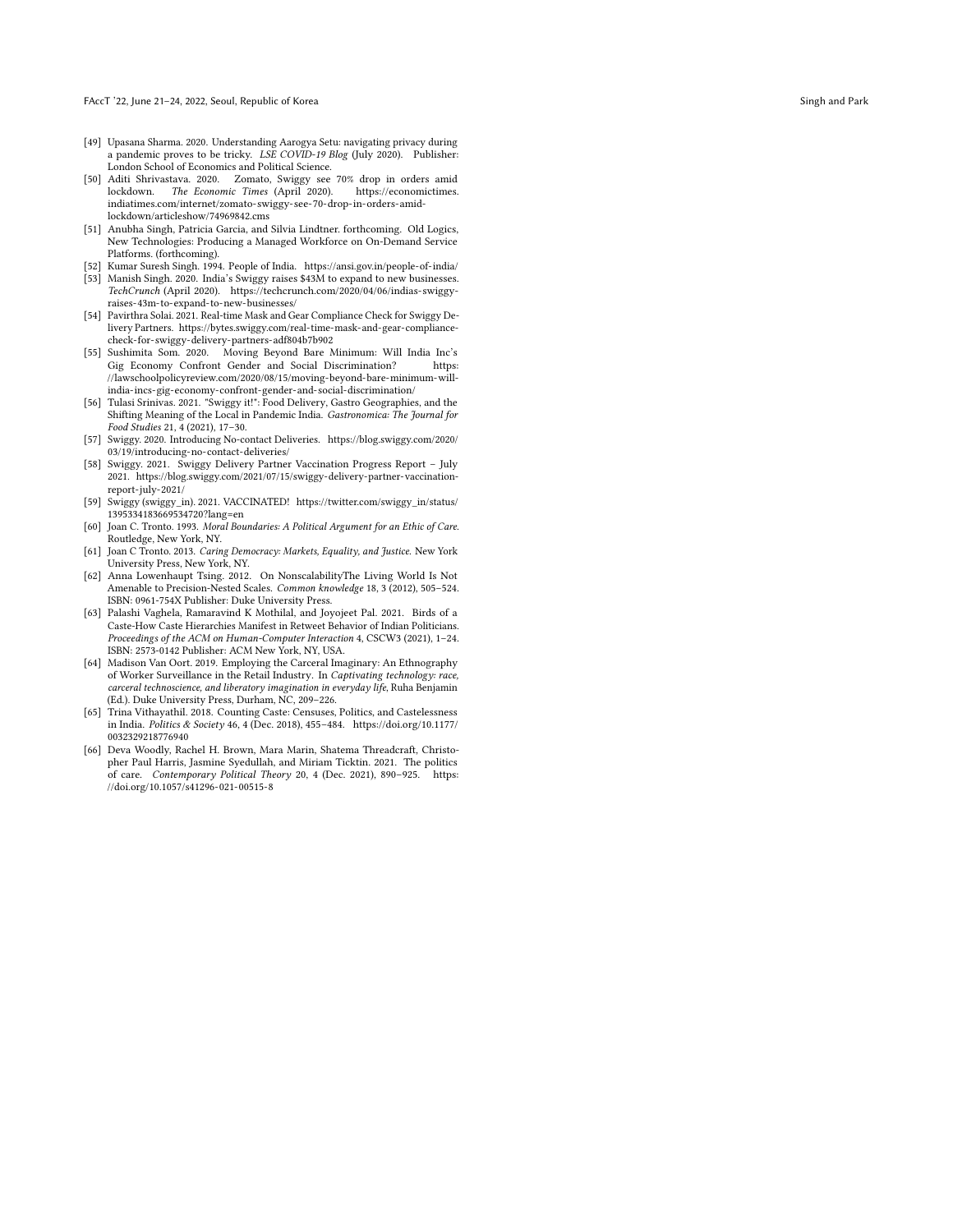- <span id="page-11-0"></span>[49] Upasana Sharma. 2020. Understanding Aarogya Setu: navigating privacy during a pandemic proves to be tricky. LSE COVID-19 Blog (July 2020). Publisher: London School of Economics and Political Science.
- <span id="page-11-11"></span>[50] Aditi Shrivastava. 2020. Zomato, Swiggy see 70% drop in orders amid lockdown. The Economic Times (April 2020). [indiatimes.com/internet/zomato-swiggy-see-70-drop-in-orders-amid](https://economictimes.indiatimes.com/internet/zomato-swiggy-see-70-drop-in-orders-amid-lockdown/articleshow/74969842.cms)[lockdown/articleshow/74969842.cms](https://economictimes.indiatimes.com/internet/zomato-swiggy-see-70-drop-in-orders-amid-lockdown/articleshow/74969842.cms)
- <span id="page-11-12"></span>[51] Anubha Singh, Patricia Garcia, and Silvia Lindtner. forthcoming. Old Logics, New Technologies: Producing a Managed Workforce on On-Demand Service Platforms. (forthcoming).
- <span id="page-11-8"></span>[52] Kumar Suresh Singh. 1994. People of India.<https://ansi.gov.in/people-of-india/>
- <span id="page-11-1"></span>[53] Manish Singh. 2020. India's Swiggy raises \$43M to expand to new businesses. TechCrunch (April 2020). [https://techcrunch.com/2020/04/06/indias-swiggy](https://techcrunch.com/2020/04/06/indias-swiggy-raises-43m-to-expand-to-new-businesses/)[raises-43m-to-expand-to-new-businesses/](https://techcrunch.com/2020/04/06/indias-swiggy-raises-43m-to-expand-to-new-businesses/)
- <span id="page-11-13"></span>[54] Pavirthra Solai. 2021. Real-time Mask and Gear Compliance Check for Swiggy Delivery Partners. [https://bytes.swiggy.com/real-time-mask-and-gear-compliance](https://bytes.swiggy.com/real-time-mask-and-gear-compliance-check-for-swiggy-delivery-partners-adf804b7b902)[check-for-swiggy-delivery-partners-adf804b7b902](https://bytes.swiggy.com/real-time-mask-and-gear-compliance-check-for-swiggy-delivery-partners-adf804b7b902)
- <span id="page-11-7"></span>[55] Sushimita Som. 2020. Moving Beyond Bare Minimum: Will India Inc's Gig Economy Confront Gender and Social Discrimination? [//lawschoolpolicyreview.com/2020/08/15/moving-beyond-bare-minimum-will](https://lawschoolpolicyreview.com/2020/08/15/moving-beyond-bare-minimum-will-india-incs-gig-economy-confront-gender-and-social-discrimination/)[india-incs-gig-economy-confront-gender-and-social-discrimination/](https://lawschoolpolicyreview.com/2020/08/15/moving-beyond-bare-minimum-will-india-incs-gig-economy-confront-gender-and-social-discrimination/)
- <span id="page-11-2"></span>[56] Tulasi Srinivas. 2021. "Swiggy it!": Food Delivery, Gastro Geographies, and the Shifting Meaning of the Local in Pandemic India. Gastronomica: The Journal for Food Studies 21, 4 (2021), 17–30.
- <span id="page-11-10"></span>[57] Swiggy. 2020. Introducing No-contact Deliveries. [https://blog.swiggy.com/2020/](https://blog.swiggy.com/2020/03/19/introducing-no-contact-deliveries/) [03/19/introducing-no-contact-deliveries/](https://blog.swiggy.com/2020/03/19/introducing-no-contact-deliveries/)
- <span id="page-11-15"></span>[58] Swiggy. 2021. Swiggy Delivery Partner Vaccination Progress Report – July 2021. [https://blog.swiggy.com/2021/07/15/swiggy-delivery-partner-vaccination](https://blog.swiggy.com/2021/07/15/swiggy-delivery-partner-vaccination-report-july-2021/)[report-july-2021/](https://blog.swiggy.com/2021/07/15/swiggy-delivery-partner-vaccination-report-july-2021/)
- <span id="page-11-14"></span>[59] Swiggy (swiggy in). 2021. VACCINATED! [https://twitter.com/swiggy\\_in/status/](https://twitter.com/swiggy_in/status/1395334183669534720?lang=en) [1395334183669534720?lang=en](https://twitter.com/swiggy_in/status/1395334183669534720?lang=en)
- <span id="page-11-4"></span>[60] Joan C. Tronto. 1993. Moral Boundaries: A Political Argument for an Ethic of Care . Routledge, New York, NY.
- <span id="page-11-5"></span>[61] Joan C Tronto. 2013. Caring Democracy: Markets, Equality, and Justice. New York University Press, New York, NY.
- <span id="page-11-16"></span>[62] Anna Lowenhaupt Tsing. 2012. On NonscalabilityThe Living World Is Not Amenable to Precision-Nested Scales. Common knowledge 18, 3 (2012), 505-524. ISBN: 0961-754X Publisher: Duke University Press.
- <span id="page-11-9"></span>[63] Palashi Vaghela, Ramaravind K Mothilal, and Joyojeet Pal. 2021. Birds of a Caste-How Caste Hierarchies Manifest in Retweet Behavior of Indian Politicians. Proceedings of the ACM on Human-Computer Interaction 4, CSCW3 (2021), 1–24. ISBN: 2573-0142 Publisher: ACM New York, NY, USA.
- <span id="page-11-17"></span>[64] Madison Van Oort. 2019. Employing the Carceral Imaginary: An Ethnography of Worker Surveillance in the Retail Industry. In Captivating technology: race, carceral technoscience, and liberatory imagination in everyday life, Ruha Benjamin (Ed.). Duke University Press, Durham, NC, 209–226.
- <span id="page-11-6"></span>[65] Trina Vithayathil. 2018. Counting Caste: Censuses, Politics, and Castelessness in India. Politics & Society 46, 4 (Dec. 2018), 455–484. [https://doi.org/10.1177/](https://doi.org/10.1177/0032329218776940) [0032329218776940](https://doi.org/10.1177/0032329218776940)
- <span id="page-11-3"></span>[66] Deva Woodly, Rachel H. Brown, Mara Marin, Shatema Threadcraft, Christopher Paul Harris, Jasmine Syedullah, and Miriam Ticktin. 2021. The politics of care. Contemporary Political Theory 20, 4 (Dec. 2021), 890–925. [https:](https://doi.org/10.1057/s41296-021-00515-8) [//doi.org/10.1057/s41296-021-00515-8](https://doi.org/10.1057/s41296-021-00515-8)